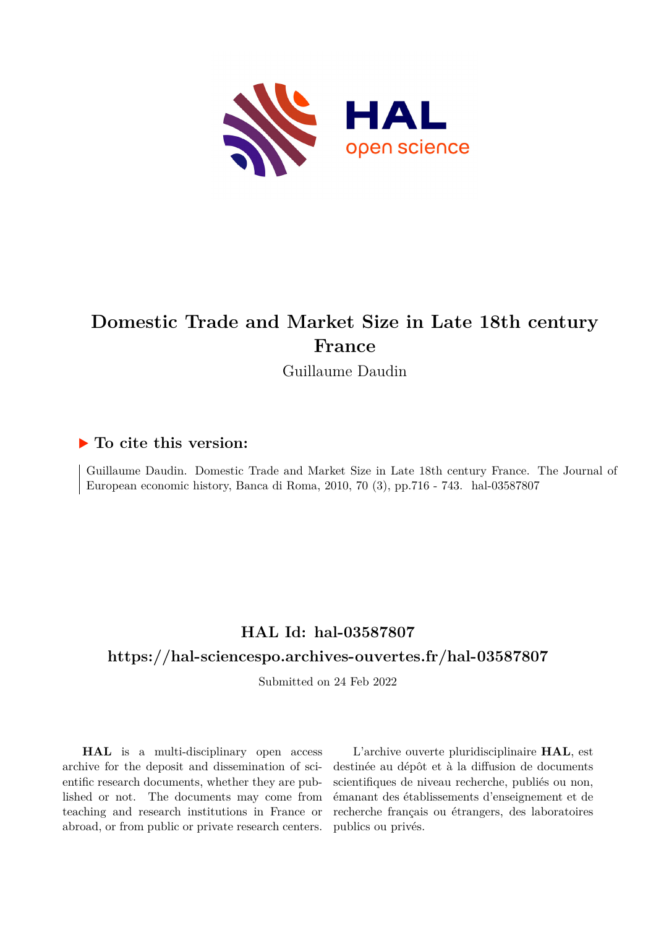

# **Domestic Trade and Market Size in Late 18th century France**

Guillaume Daudin

## **To cite this version:**

Guillaume Daudin. Domestic Trade and Market Size in Late 18th century France. The Journal of European economic history, Banca di Roma, 2010, 70 (3), pp.716 - 743. hal-03587807

## **HAL Id: hal-03587807**

## **<https://hal-sciencespo.archives-ouvertes.fr/hal-03587807>**

Submitted on 24 Feb 2022

**HAL** is a multi-disciplinary open access archive for the deposit and dissemination of scientific research documents, whether they are published or not. The documents may come from teaching and research institutions in France or abroad, or from public or private research centers.

L'archive ouverte pluridisciplinaire **HAL**, est destinée au dépôt et à la diffusion de documents scientifiques de niveau recherche, publiés ou non, émanant des établissements d'enseignement et de recherche français ou étrangers, des laboratoires publics ou privés.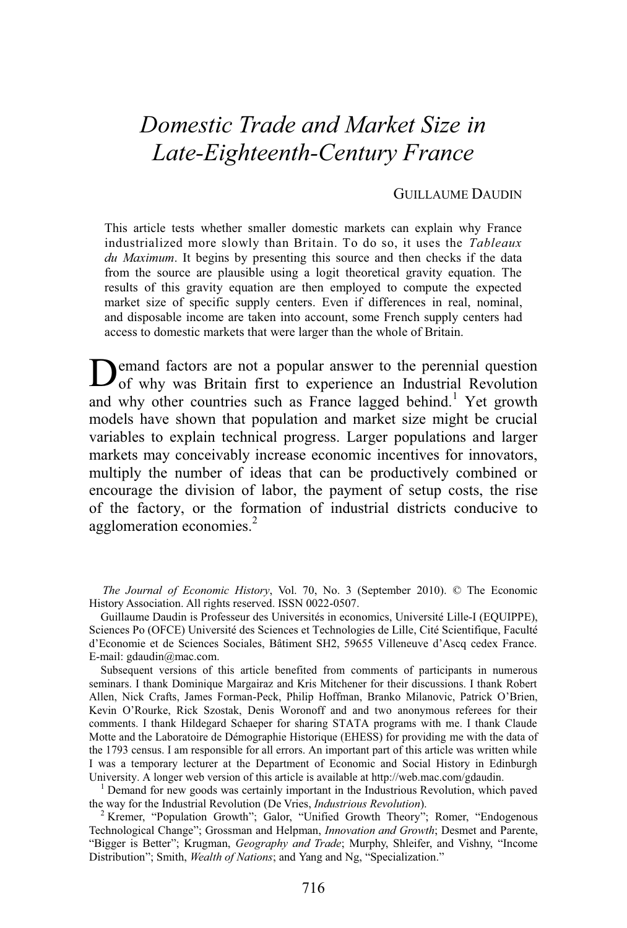# *Domestic Trade and Market Size in Late-Eighteenth-Century France*

#### GUILLAUME DAUDIN

This article tests whether smaller domestic markets can explain why France industrialized more slowly than Britain. To do so, it uses the *Tableaux du Maximum*. It begins by presenting this source and then checks if the data from the source are plausible using a logit theoretical gravity equation. The results of this gravity equation are then employed to compute the expected market size of specific supply centers. Even if differences in real, nominal, and disposable income are taken into account, some French supply centers had access to domestic markets that were larger than the whole of Britain.

Demand factors are not a popular answer to the perennial question of why was Britain first to experience an Industrial Revolution of why was Britain first to experience an Industrial Revolution and why other countries such as France lagged behind.<sup>1</sup> Yet growth models have shown that population and market size might be crucial variables to explain technical progress. Larger populations and larger markets may conceivably increase economic incentives for innovators, multiply the number of ideas that can be productively combined or encourage the division of labor, the payment of setup costs, the rise of the factory, or the formation of industrial districts conducive to agglomeration economies.<sup>2</sup>

*The Journal of Economic History*, Vol. 70, No. 3 (September 2010). © The Economic History Association. All rights reserved. ISSN 0022-0507.

Guillaume Daudin is Professeur des Universités in economics, Université Lille-I (EQUIPPE), Sciences Po (OFCE) Université des Sciences et Technologies de Lille, Cité Scientifique, Faculté d'Economie et de Sciences Sociales, Bâtiment SH2, 59655 Villeneuve d'Ascq cedex France. E-mail: gdaudin@mac.com.

Subsequent versions of this article benefited from comments of participants in numerous seminars. I thank Dominique Margairaz and Kris Mitchener for their discussions. I thank Robert Allen, Nick Crafts, James Forman-Peck, Philip Hoffman, Branko Milanovic, Patrick O'Brien, Kevin O'Rourke, Rick Szostak, Denis Woronoff and and two anonymous referees for their comments. I thank Hildegard Schaeper for sharing STATA programs with me. I thank Claude Motte and the Laboratoire de Démographie Historique (EHESS) for providing me with the data of the 1793 census. I am responsible for all errors. An important part of this article was written while I was a temporary lecturer at the Department of Economic and Social History in Edinburgh University. A longer web version of this article is available at http://web.mac.com/gdaudin. 1

 Demand for new goods was certainly important in the Industrious Revolution, which paved the way for the Industrial Revolution (De Vries, *Industrious Revolution*). 2

<sup>2</sup> Kremer, "Population Growth"; Galor, "Unified Growth Theory"; Romer, "Endogenous Technological Change"; Grossman and Helpman, *Innovation and Growth*; Desmet and Parente, "Bigger is Better"; Krugman, *Geography and Trade*; Murphy, Shleifer, and Vishny, "Income Distribution"; Smith, *Wealth of Nations*; and Yang and Ng, "Specialization."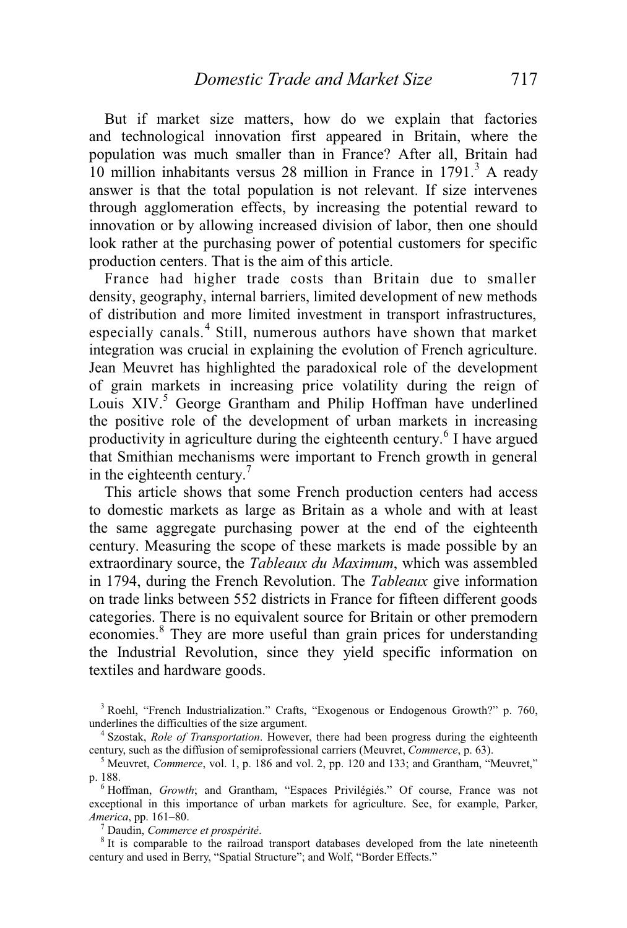But if market size matters, how do we explain that factories and technological innovation first appeared in Britain, where the population was much smaller than in France? After all, Britain had  $10$  million inhabitants versus 28 million in France in 1791.<sup>3</sup> A ready answer is that the total population is not relevant. If size intervenes through agglomeration effects, by increasing the potential reward to innovation or by allowing increased division of labor, then one should look rather at the purchasing power of potential customers for specific production centers. That is the aim of this article.

France had higher trade costs than Britain due to smaller density, geography, internal barriers, limited development of new methods of distribution and more limited investment in transport infrastructures, especially canals.<sup>4</sup> Still, numerous authors have shown that market integration was crucial in explaining the evolution of French agriculture. Jean Meuvret has highlighted the paradoxical role of the development of grain markets in increasing price volatility during the reign of Louis XIV.<sup>5</sup> George Grantham and Philip Hoffman have underlined the positive role of the development of urban markets in increasing productivity in agriculture during the eighteenth century.<sup>6</sup> I have argued that Smithian mechanisms were important to French growth in general in the eighteenth century.<sup>7</sup>

 This article shows that some French production centers had access to domestic markets as large as Britain as a whole and with at least the same aggregate purchasing power at the end of the eighteenth century. Measuring the scope of these markets is made possible by an extraordinary source, the *Tableaux du Maximum*, which was assembled in 1794, during the French Revolution. The *Tableaux* give information on trade links between 552 districts in France for fifteen different goods categories. There is no equivalent source for Britain or other premodern economies.<sup>8</sup> They are more useful than grain prices for understanding the Industrial Revolution, since they yield specific information on textiles and hardware goods.

<sup>3</sup> Roehl, "French Industrialization." Crafts, "Exogenous or Endogenous Growth?" p. 760, underlines the difficulties of the size argument. 4

 Szostak, *Role of Transportation*. However, there had been progress during the eighteenth century, such as the diffusion of semiprofessional carriers (Meuvret, *Commerce*, p. 63).

<sup>5</sup> Meuvret, *Commerce*, vol. 1, p. 186 and vol. 2, pp. 120 and 133; and Grantham, "Meuvret," p. 188. 6

 Hoffman, *Growth*; and Grantham, "Espaces Privilégiés." Of course, France was not exceptional in this importance of urban markets for agriculture. See, for example, Parker, *America*, pp. 161–80. 7

Daudin, *Commerce et prospérité*. 8

 $8$  It is comparable to the railroad transport databases developed from the late nineteenth century and used in Berry, "Spatial Structure"; and Wolf, "Border Effects."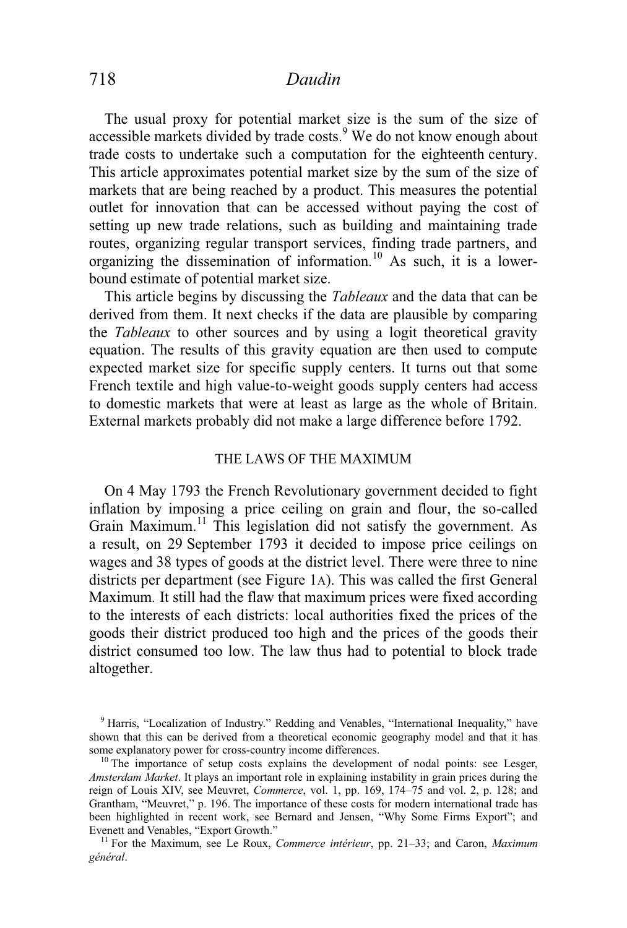The usual proxy for potential market size is the sum of the size of accessible markets divided by trade costs.<sup>9</sup> We do not know enough about trade costs to undertake such a computation for the eighteenth century. This article approximates potential market size by the sum of the size of markets that are being reached by a product. This measures the potential outlet for innovation that can be accessed without paying the cost of setting up new trade relations, such as building and maintaining trade routes, organizing regular transport services, finding trade partners, and organizing the dissemination of information.10 As such, it is a lowerbound estimate of potential market size.

 This article begins by discussing the *Tableaux* and the data that can be derived from them. It next checks if the data are plausible by comparing the *Tableaux* to other sources and by using a logit theoretical gravity equation. The results of this gravity equation are then used to compute expected market size for specific supply centers. It turns out that some French textile and high value-to-weight goods supply centers had access to domestic markets that were at least as large as the whole of Britain. External markets probably did not make a large difference before 1792.

#### THE LAWS OF THE MAXIMUM

 On 4 May 1793 the French Revolutionary government decided to fight inflation by imposing a price ceiling on grain and flour, the so-called Grain Maximum.<sup>11</sup> This legislation did not satisfy the government. As a result, on 29 September 1793 it decided to impose price ceilings on wages and 38 types of goods at the district level. There were three to nine districts per department (see Figure 1A). This was called the first General Maximum*.* It still had the flaw that maximum prices were fixed according to the interests of each districts: local authorities fixed the prices of the goods their district produced too high and the prices of the goods their district consumed too low. The law thus had to potential to block trade altogether.

<sup>&</sup>lt;sup>9</sup> Harris, "Localization of Industry." Redding and Venables, "International Inequality," have shown that this can be derived from a theoretical economic geography model and that it has some explanatory power for cross-country income differences.

 $10$  The importance of setup costs explains the development of nodal points: see Lesger, *Amsterdam Market*. It plays an important role in explaining instability in grain prices during the reign of Louis XIV, see Meuvret, *Commerce*, vol. 1, pp. 169, 174–75 and vol. 2, p. 128; and Grantham, "Meuvret," p. 196. The importance of these costs for modern international trade has been highlighted in recent work, see Bernard and Jensen, "Why Some Firms Export"; and Evenett and Venables, "Export Growth."<br><sup>11</sup> For the Maximum, see Le Roux, *Commerce intérieur*, pp. 21–33; and Caron, *Maximum* 

*général*.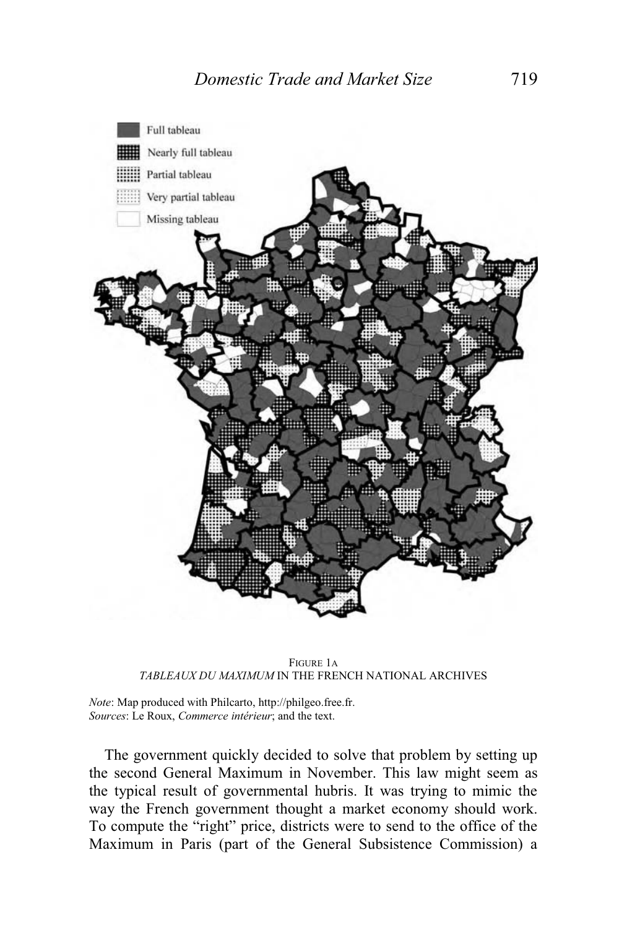

FIGURE 1A *TABLEAUX DU MAXIMUM* IN THE FRENCH NATIONAL ARCHIVES

*Note*: Map produced with Philcarto, http://philgeo.free.fr. *Sources*: Le Roux, *Commerce intérieur*; and the text.

 The government quickly decided to solve that problem by setting up the second General Maximum in November. This law might seem as the typical result of governmental hubris. It was trying to mimic the way the French government thought a market economy should work. To compute the "right" price, districts were to send to the office of the Maximum in Paris (part of the General Subsistence Commission) a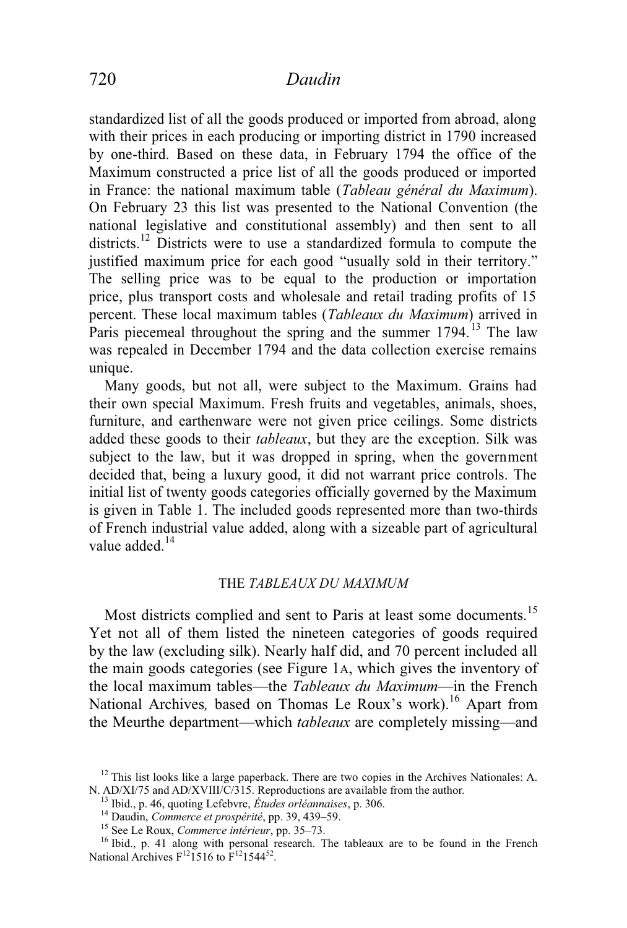standardized list of all the goods produced or imported from abroad, along with their prices in each producing or importing district in 1790 increased by one-third. Based on these data, in February 1794 the office of the Maximum constructed a price list of all the goods produced or imported in France: the national maximum table (*Tableau général du Maximum*). On February 23 this list was presented to the National Convention (the national legislative and constitutional assembly) and then sent to all districts.<sup>12</sup> Districts were to use a standardized formula to compute the justified maximum price for each good "usually sold in their territory." The selling price was to be equal to the production or importation price, plus transport costs and wholesale and retail trading profits of 15 percent. These local maximum tables (*Tableaux du Maximum*) arrived in Paris piecemeal throughout the spring and the summer  $1794$ . <sup>13</sup> The law was repealed in December 1794 and the data collection exercise remains unique.

 Many goods, but not all, were subject to the Maximum. Grains had their own special Maximum. Fresh fruits and vegetables, animals, shoes, furniture, and earthenware were not given price ceilings. Some districts added these goods to their *tableaux*, but they are the exception. Silk was subject to the law, but it was dropped in spring, when the government decided that, being a luxury good, it did not warrant price controls. The initial list of twenty goods categories officially governed by the Maximum is given in Table 1. The included goods represented more than two-thirds of French industrial value added, along with a sizeable part of agricultural value added.<sup>14</sup>

#### THE *TABLEAUX DU MAXIMUM*

Most districts complied and sent to Paris at least some documents.<sup>15</sup> Yet not all of them listed the nineteen categories of goods required by the law (excluding silk). Nearly half did, and 70 percent included all the main goods categories (see Figure 1A, which gives the inventory of the local maximum tables—the *Tableaux du Maximum*—in the French National Archives, based on Thomas Le Roux's work).<sup>16</sup> Apart from the Meurthe department—which *tableaux* are completely missing—and

 $12$  This list looks like a large paperback. There are two copies in the Archives Nationales: A. N. AD/XI/75 and AD/XVIII/C/315. Reproductions are available from the author.<br><sup>13</sup> Ibid., p. 46, quoting Lefebvre, *Études orléannaises*, p. 306.<br><sup>14</sup> Daudin, *Commerce et prospérité*, pp. 39, 439–59.<br><sup>15</sup> See Le Roux, *Co* 

National Archives  $F^{12}$ 1516 to  $F^{12}$ 1544<sup>52</sup>.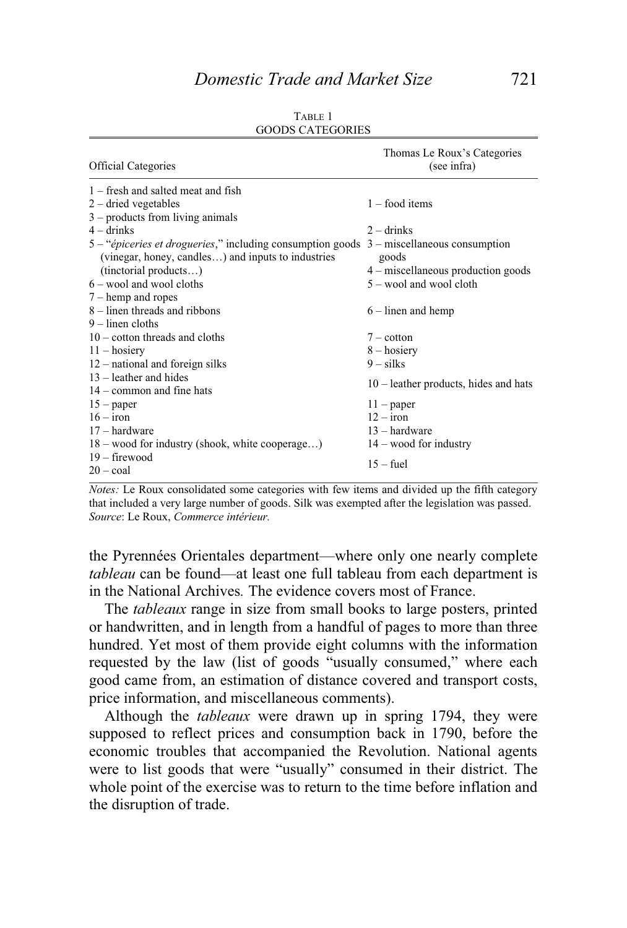|                                                            | Thomas Le Roux's Categories             |
|------------------------------------------------------------|-----------------------------------------|
| <b>Official Categories</b>                                 | (see infra)                             |
| $1$ – fresh and salted meat and fish                       |                                         |
| $2$ – dried vegetables                                     | $1 -$ food items                        |
| $3$ – products from living animals                         |                                         |
| $4 -$ drinks                                               | $2 -$ drinks                            |
| 5 - "épiceries et drogueries," including consumption goods | $3$ – miscellaneous consumption         |
| (vinegar, honey, candles) and inputs to industries         | goods                                   |
| (tinctorial products)                                      | $4$ – miscellaneous production goods    |
| $6 -$ wool and wool cloths                                 | 5 – wool and wool cloth                 |
| $7 - \text{hemp}$ and ropes                                |                                         |
| 8 – linen threads and ribbons                              | $6$ – linen and hemp                    |
| $9$ – linen cloths                                         |                                         |
| $10 - \text{cottom threads}$ and cloths                    | $7$ – cotton                            |
| $11 -$ hosiery                                             | $8 -$ hosiery                           |
| $12$ – national and foreign silks                          | $9 - silks$                             |
| $13$ – leather and hides                                   | $10$ – leather products, hides and hats |
| $14$ – common and fine hats                                |                                         |
| $15$ – paper                                               | $11$ – paper                            |
| $16 - i$ ron                                               | $12 - i$ ron                            |
| $17 - \text{hardware}$                                     | $13 -$ hardware                         |
| $18 -$ wood for industry (shook, white cooperage)          | $14 -$ wood for industry                |
| $19$ – firewood                                            | $15 - fuel$                             |
| $20 - \text{coal}$                                         |                                         |

| TABLE 1                 |
|-------------------------|
| <b>GOODS CATEGORIES</b> |

*Notes:* Le Roux consolidated some categories with few items and divided up the fifth category that included a very large number of goods. Silk was exempted after the legislation was passed. *Source*: Le Roux, *Commerce intérieur.*

the Pyrennées Orientales department—where only one nearly complete *tableau* can be found—at least one full tableau from each department is in the National Archives*.* The evidence covers most of France.

 The *tableaux* range in size from small books to large posters, printed or handwritten, and in length from a handful of pages to more than three hundred. Yet most of them provide eight columns with the information requested by the law (list of goods "usually consumed," where each good came from, an estimation of distance covered and transport costs, price information, and miscellaneous comments).

 Although the *tableaux* were drawn up in spring 1794, they were supposed to reflect prices and consumption back in 1790, before the economic troubles that accompanied the Revolution. National agents were to list goods that were "usually" consumed in their district. The whole point of the exercise was to return to the time before inflation and the disruption of trade.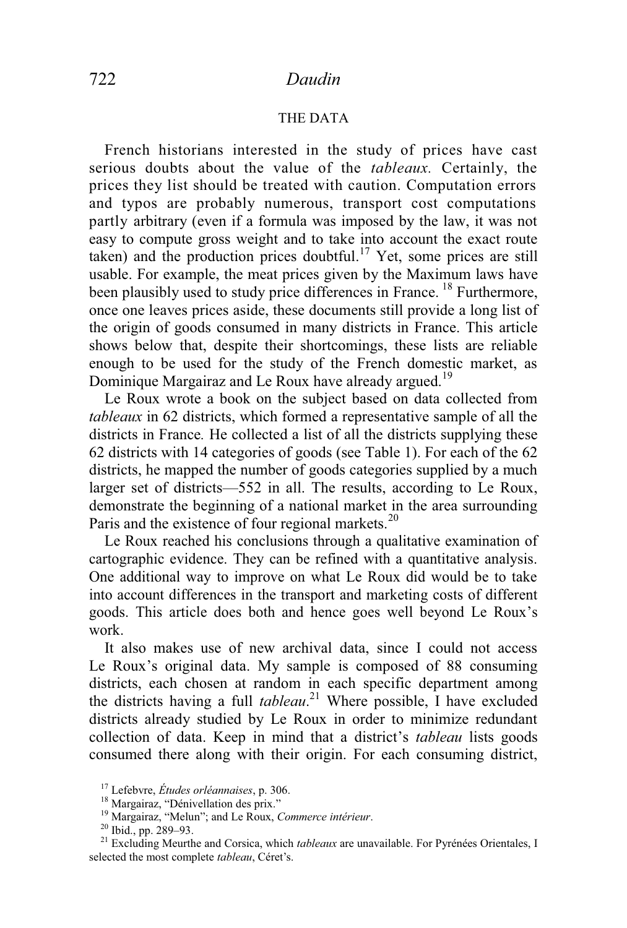#### THE DATA

 French historians interested in the study of prices have cast serious doubts about the value of the *tableaux.* Certainly, the prices they list should be treated with caution. Computation errors and typos are probably numerous, transport cost computations partly arbitrary (even if a formula was imposed by the law, it was not easy to compute gross weight and to take into account the exact route taken) and the production prices doubtful.<sup>17</sup> Yet, some prices are still usable. For example, the meat prices given by the Maximum laws have been plausibly used to study price differences in France.<sup>18</sup> Furthermore, once one leaves prices aside, these documents still provide a long list of the origin of goods consumed in many districts in France. This article shows below that, despite their shortcomings, these lists are reliable enough to be used for the study of the French domestic market, as Dominique Margairaz and Le Roux have already argued.<sup>19</sup>

 Le Roux wrote a book on the subject based on data collected from *tableaux* in 62 districts, which formed a representative sample of all the districts in France*.* He collected a list of all the districts supplying these 62 districts with 14 categories of goods (see Table 1). For each of the 62 districts, he mapped the number of goods categories supplied by a much larger set of districts—552 in all. The results, according to Le Roux, demonstrate the beginning of a national market in the area surrounding Paris and the existence of four regional markets.<sup>20</sup>

Le Roux reached his conclusions through a qualitative examination of cartographic evidence. They can be refined with a quantitative analysis. One additional way to improve on what Le Roux did would be to take into account differences in the transport and marketing costs of different goods. This article does both and hence goes well beyond Le Roux's work.

 It also makes use of new archival data, since I could not access Le Roux's original data. My sample is composed of 88 consuming districts, each chosen at random in each specific department among the districts having a full *tableau*. 21 Where possible, I have excluded districts already studied by Le Roux in order to minimize redundant collection of data. Keep in mind that a district's *tableau* lists goods consumed there along with their origin. For each consuming district,

<sup>&</sup>lt;sup>17</sup> Lefebvre, *Études orléannaises*, p. 306.<br><sup>18</sup> Margairaz, "Dénivellation des prix."<br><sup>19</sup> Margairaz, "Melun"; and Le Roux, *Commerce intérieur*.<br><sup>20</sup> Ibid., pp. 289–93.<br><sup>21</sup> Excluding Meurthe and Corsica, which *tablea* selected the most complete *tableau*, Céret's.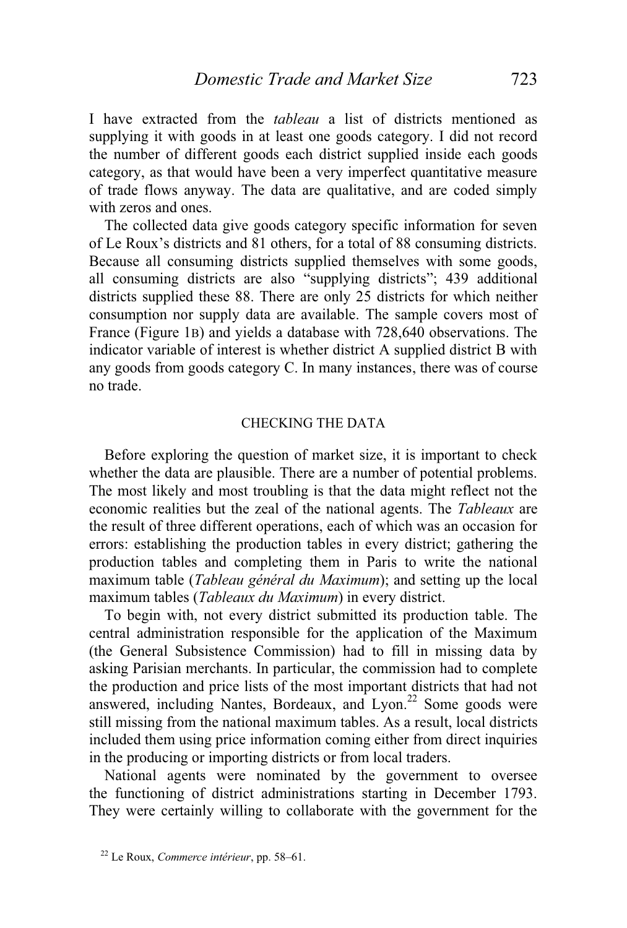I have extracted from the *tableau* a list of districts mentioned as supplying it with goods in at least one goods category. I did not record the number of different goods each district supplied inside each goods category, as that would have been a very imperfect quantitative measure of trade flows anyway. The data are qualitative, and are coded simply with zeros and ones.

 The collected data give goods category specific information for seven of Le Roux's districts and 81 others, for a total of 88 consuming districts. Because all consuming districts supplied themselves with some goods, all consuming districts are also "supplying districts"; 439 additional districts supplied these 88. There are only 25 districts for which neither consumption nor supply data are available. The sample covers most of France (Figure 1B) and yields a database with 728,640 observations. The indicator variable of interest is whether district A supplied district B with any goods from goods category C. In many instances, there was of course no trade.

#### CHECKING THE DATA

 Before exploring the question of market size, it is important to check whether the data are plausible. There are a number of potential problems. The most likely and most troubling is that the data might reflect not the economic realities but the zeal of the national agents. The *Tableaux* are the result of three different operations, each of which was an occasion for errors: establishing the production tables in every district; gathering the production tables and completing them in Paris to write the national maximum table (*Tableau général du Maximum*); and setting up the local maximum tables (*Tableaux du Maximum*) in every district.

 To begin with, not every district submitted its production table. The central administration responsible for the application of the Maximum (the General Subsistence Commission) had to fill in missing data by asking Parisian merchants. In particular, the commission had to complete the production and price lists of the most important districts that had not answered, including Nantes, Bordeaux, and Lyon.<sup>22</sup> Some goods were still missing from the national maximum tables. As a result, local districts included them using price information coming either from direct inquiries in the producing or importing districts or from local traders.

 National agents were nominated by the government to oversee the functioning of district administrations starting in December 1793. They were certainly willing to collaborate with the government for the

<sup>22</sup> Le Roux, *Commerce intérieur*, pp. 58–61.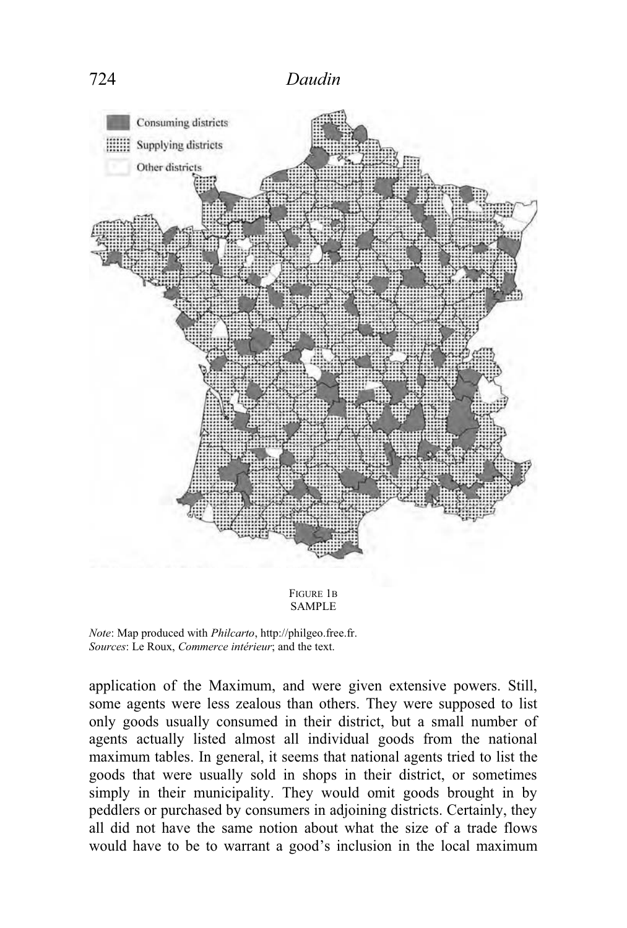

*Note*: Map produced with *Philcarto*, http://philgeo.free.fr. *Sources*: Le Roux, *Commerce intérieur*; and the text.

application of the Maximum, and were given extensive powers. Still, some agents were less zealous than others. They were supposed to list only goods usually consumed in their district, but a small number of agents actually listed almost all individual goods from the national maximum tables. In general, it seems that national agents tried to list the goods that were usually sold in shops in their district, or sometimes simply in their municipality. They would omit goods brought in by peddlers or purchased by consumers in adjoining districts. Certainly, they all did not have the same notion about what the size of a trade flows would have to be to warrant a good's inclusion in the local maximum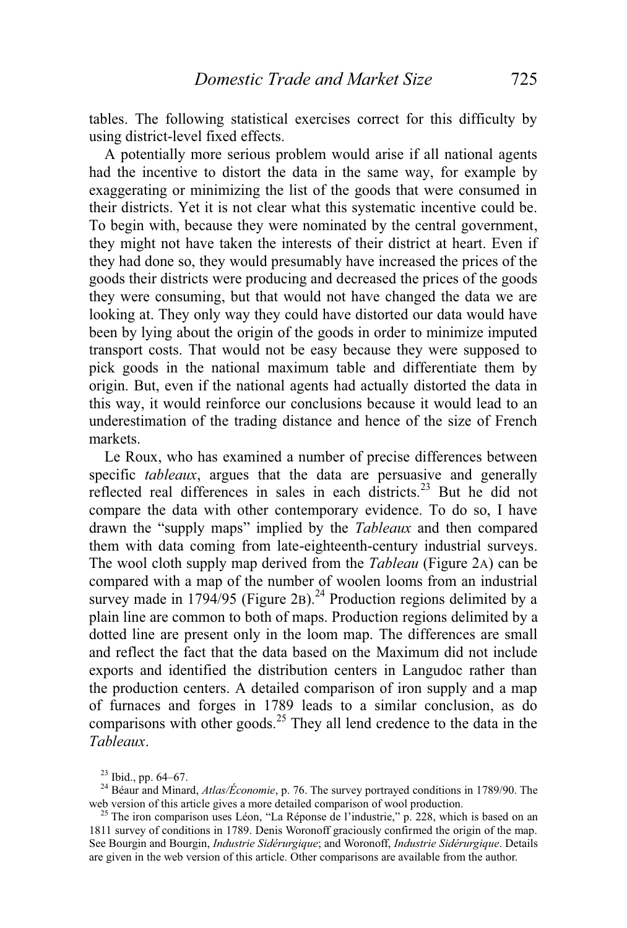tables. The following statistical exercises correct for this difficulty by using district-level fixed effects.

 A potentially more serious problem would arise if all national agents had the incentive to distort the data in the same way, for example by exaggerating or minimizing the list of the goods that were consumed in their districts. Yet it is not clear what this systematic incentive could be. To begin with, because they were nominated by the central government, they might not have taken the interests of their district at heart. Even if they had done so, they would presumably have increased the prices of the goods their districts were producing and decreased the prices of the goods they were consuming, but that would not have changed the data we are looking at. They only way they could have distorted our data would have been by lying about the origin of the goods in order to minimize imputed transport costs. That would not be easy because they were supposed to pick goods in the national maximum table and differentiate them by origin. But, even if the national agents had actually distorted the data in this way, it would reinforce our conclusions because it would lead to an underestimation of the trading distance and hence of the size of French markets.

 Le Roux, who has examined a number of precise differences between specific *tableaux*, argues that the data are persuasive and generally reflected real differences in sales in each districts.<sup>23</sup> But he did not compare the data with other contemporary evidence. To do so, I have drawn the "supply maps" implied by the *Tableaux* and then compared them with data coming from late-eighteenth-century industrial surveys. The wool cloth supply map derived from the *Tableau* (Figure 2A) can be compared with a map of the number of woolen looms from an industrial survey made in  $1794/95$  (Figure 2B).<sup>24</sup> Production regions delimited by a plain line are common to both of maps. Production regions delimited by a dotted line are present only in the loom map. The differences are small and reflect the fact that the data based on the Maximum did not include exports and identified the distribution centers in Langudoc rather than the production centers. A detailed comparison of iron supply and a map of furnaces and forges in 1789 leads to a similar conclusion, as do comparisons with other goods.<sup>25</sup> They all lend credence to the data in the *Tableaux*.

<sup>&</sup>lt;sup>23</sup> Ibid., pp. 64–67.<br><sup>24</sup> Béaur and Minard, *Atlas/Économie*, p. 76. The survey portrayed conditions in 1789/90. The web version of this article gives a more detailed comparison of wool production.

<sup>&</sup>lt;sup>25</sup> The iron comparison uses Léon, "La Réponse de l'industrie," p. 228, which is based on an 1811 survey of conditions in 1789. Denis Woronoff graciously confirmed the origin of the map. See Bourgin and Bourgin, *Industrie Sidérurgique*; and Woronoff, *Industrie Sidérurgique*. Details are given in the web version of this article. Other comparisons are available from the author.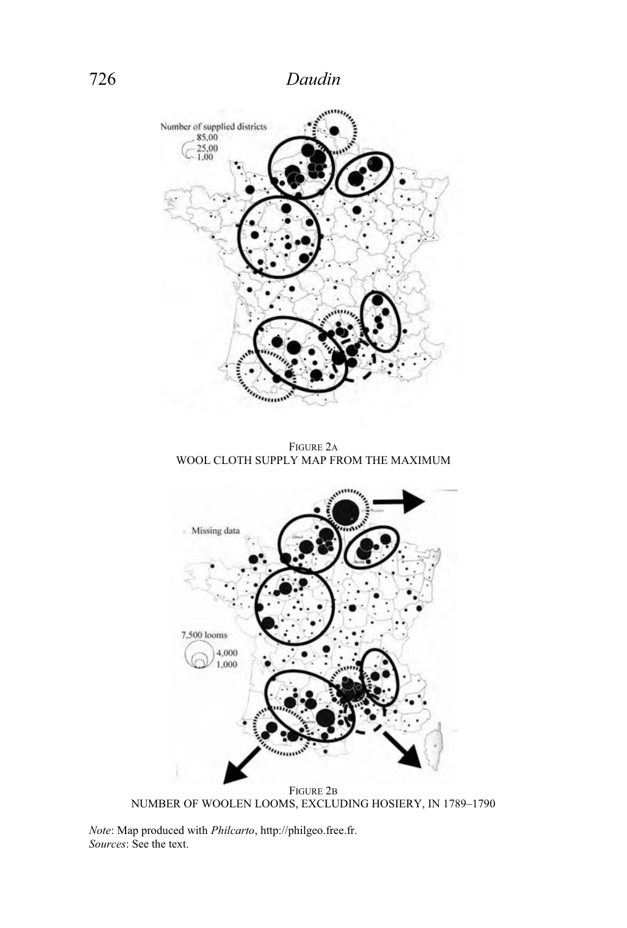

FIGURE 2B NUMBER OF WOOLEN LOOMS, EXCLUDING HOSIERY, IN 1789–1790

*Note*: Map produced with *Philcarto*, http://philgeo.free.fr. *Sources*: See the text.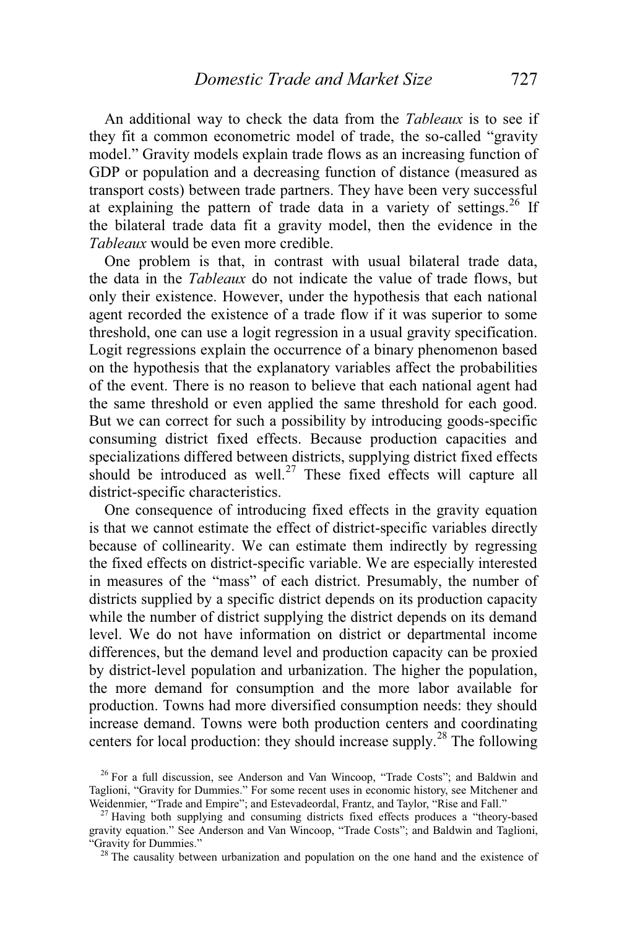An additional way to check the data from the *Tableaux* is to see if they fit a common econometric model of trade, the so-called "gravity model." Gravity models explain trade flows as an increasing function of GDP or population and a decreasing function of distance (measured as transport costs) between trade partners. They have been very successful at explaining the pattern of trade data in a variety of settings.<sup>26</sup> If the bilateral trade data fit a gravity model, then the evidence in the *Tableaux* would be even more credible.

 One problem is that, in contrast with usual bilateral trade data, the data in the *Tableaux* do not indicate the value of trade flows, but only their existence. However, under the hypothesis that each national agent recorded the existence of a trade flow if it was superior to some threshold, one can use a logit regression in a usual gravity specification. Logit regressions explain the occurrence of a binary phenomenon based on the hypothesis that the explanatory variables affect the probabilities of the event. There is no reason to believe that each national agent had the same threshold or even applied the same threshold for each good. But we can correct for such a possibility by introducing goods-specific consuming district fixed effects. Because production capacities and specializations differed between districts, supplying district fixed effects should be introduced as well.<sup>27</sup> These fixed effects will capture all district-specific characteristics.

One consequence of introducing fixed effects in the gravity equation is that we cannot estimate the effect of district-specific variables directly because of collinearity. We can estimate them indirectly by regressing the fixed effects on district-specific variable. We are especially interested in measures of the "mass" of each district. Presumably, the number of districts supplied by a specific district depends on its production capacity while the number of district supplying the district depends on its demand level. We do not have information on district or departmental income differences, but the demand level and production capacity can be proxied by district-level population and urbanization. The higher the population, the more demand for consumption and the more labor available for production. Towns had more diversified consumption needs: they should increase demand. Towns were both production centers and coordinating centers for local production: they should increase supply.<sup>28</sup> The following

<sup>&</sup>lt;sup>26</sup> For a full discussion, see Anderson and Van Wincoop, "Trade Costs"; and Baldwin and Taglioni, "Gravity for Dummies." For some recent uses in economic history, see Mitchener and Weidenmier, "Trade and Empire"; and Estevadeordal, Frantz, and Taylor, "Rise and Fall."

 $27$  Having both supplying and consuming districts fixed effects produces a "theory-based" gravity equation." See Anderson and Van Wincoop, "Trade Costs"; and Baldwin and Taglioni, "Gravity for Dummies."<br><sup>28</sup> The causality between urbanization and population on the one hand and the existence of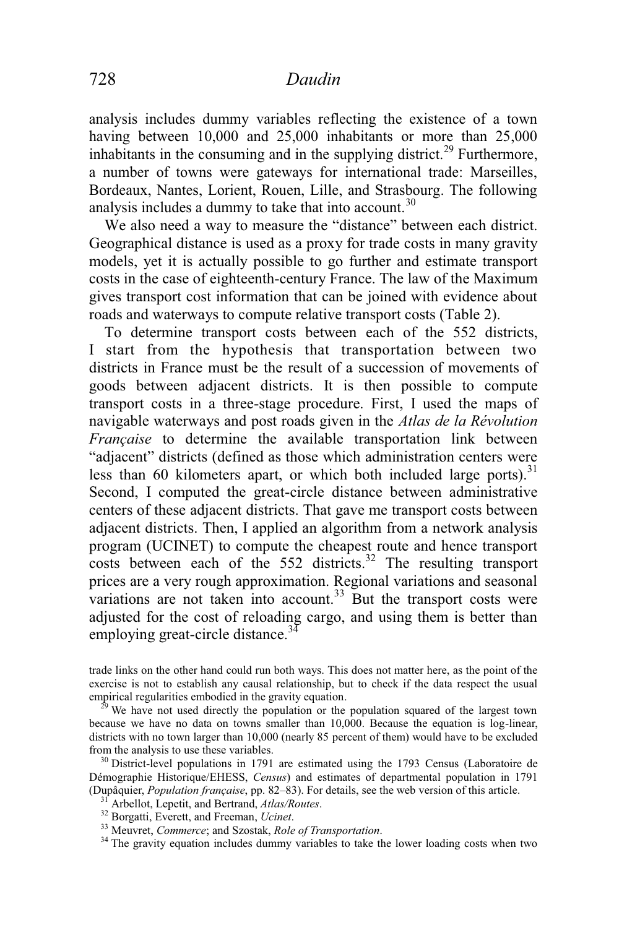analysis includes dummy variables reflecting the existence of a town having between 10,000 and 25,000 inhabitants or more than 25,000 inhabitants in the consuming and in the supplying district.<sup>29</sup> Furthermore, a number of towns were gateways for international trade: Marseilles, Bordeaux, Nantes, Lorient, Rouen, Lille, and Strasbourg. The following analysis includes a dummy to take that into account. $30$ 

 We also need a way to measure the "distance" between each district. Geographical distance is used as a proxy for trade costs in many gravity models, yet it is actually possible to go further and estimate transport costs in the case of eighteenth-century France. The law of the Maximum gives transport cost information that can be joined with evidence about roads and waterways to compute relative transport costs (Table 2).

 To determine transport costs between each of the 552 districts, I start from the hypothesis that transportation between two districts in France must be the result of a succession of movements of goods between adjacent districts. It is then possible to compute transport costs in a three-stage procedure. First, I used the maps of navigable waterways and post roads given in the *Atlas de la Révolution Française* to determine the available transportation link between "adjacent" districts (defined as those which administration centers were less than 60 kilometers apart, or which both included large ports). $31$ Second, I computed the great-circle distance between administrative centers of these adjacent districts. That gave me transport costs between adjacent districts. Then, I applied an algorithm from a network analysis program (UCINET) to compute the cheapest route and hence transport costs between each of the  $552$  districts.<sup>32</sup> The resulting transport prices are a very rough approximation. Regional variations and seasonal variations are not taken into account.<sup>33</sup> But the transport costs were adjusted for the cost of reloading cargo, and using them is better than employing great-circle distance.<sup>34</sup>

trade links on the other hand could run both ways. This does not matter here, as the point of the exercise is not to establish any causal relationship, but to check if the data respect the usual empirical regularities embodied in the gravity equation.<br><sup>29</sup> We have not used directly the population or the population squared of the largest town

because we have no data on towns smaller than 10,000. Because the equation is log-linear, districts with no town larger than 10,000 (nearly 85 percent of them) would have to be excluded from the analysis to use these variables.

 $\frac{30}{30}$  District-level populations in 1791 are estimated using the 1793 Census (Laboratoire de Démographie Historique/EHESS, *Census*) and estimates of departmental population in 1791

(Dupâquier, *Population française*, pp. 82–83). For details, see the web version of this article.<br><sup>31</sup> Arbellot, Lepetit, and Bertrand, *Atlas/Routes*.<br><sup>32</sup> Borgatti, Everett, and Freeman, *Ucinet*.<br><sup>33</sup> Meuvret, *Commerc*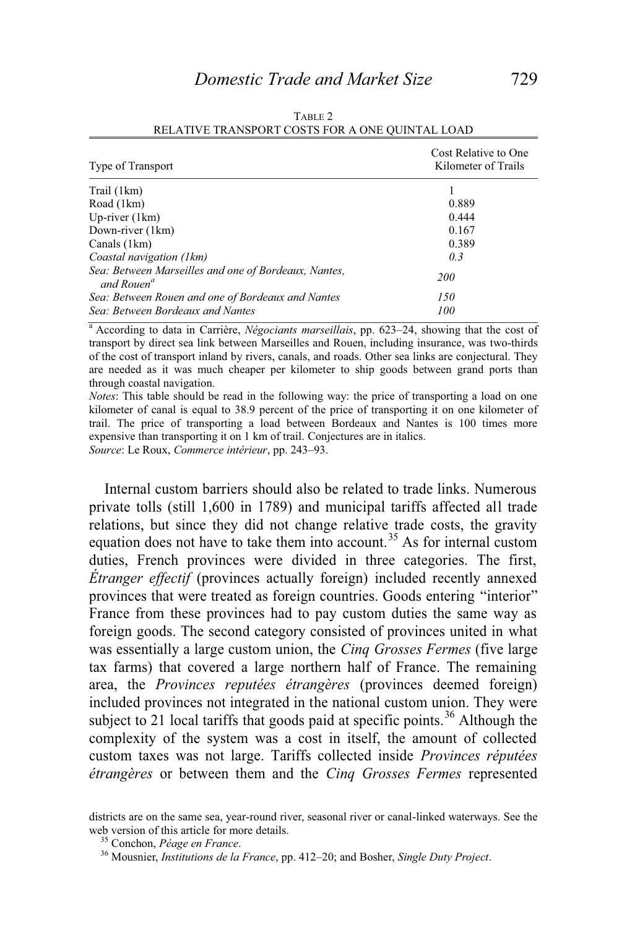| Type of Transport                                                              | Cost Relative to One<br>Kilometer of Trails |  |  |
|--------------------------------------------------------------------------------|---------------------------------------------|--|--|
| Trail (1km)                                                                    |                                             |  |  |
| Road (1km)                                                                     | 0.889                                       |  |  |
| Up-river $(1km)$                                                               | 0.444                                       |  |  |
| Down-river (1km)                                                               | 0.167                                       |  |  |
| Canals (1km)                                                                   | 0.389                                       |  |  |
| Coastal navigation (1km)                                                       | 0.3                                         |  |  |
| Sea: Between Marseilles and one of Bordeaux, Nantes,<br>and Rouen <sup>a</sup> | <i>200</i>                                  |  |  |
| Sea: Between Rouen and one of Bordeaux and Nantes                              | 150                                         |  |  |
| Sea: Between Bordeaux and Nantes                                               | 100                                         |  |  |

| TABLE 2                                         |
|-------------------------------------------------|
| RELATIVE TRANSPORT COSTS FOR A ONE QUINTAL LOAD |

<sup>a</sup> According to data in Carrière, *Négociants marseillais*, pp. 623–24, showing that the cost of transport by direct sea link between Marseilles and Rouen, including insurance, was two-thirds of the cost of transport inland by rivers, canals, and roads. Other sea links are conjectural. They are needed as it was much cheaper per kilometer to ship goods between grand ports than through coastal navigation.

*Notes*: This table should be read in the following way: the price of transporting a load on one kilometer of canal is equal to 38.9 percent of the price of transporting it on one kilometer of trail. The price of transporting a load between Bordeaux and Nantes is 100 times more expensive than transporting it on 1 km of trail. Conjectures are in italics.

*Source*: Le Roux, *Commerce intérieur*, pp. 243–93.

 Internal custom barriers should also be related to trade links. Numerous private tolls (still 1,600 in 1789) and municipal tariffs affected all trade relations, but since they did not change relative trade costs, the gravity equation does not have to take them into account.<sup>35</sup> As for internal custom duties, French provinces were divided in three categories. The first, *Étranger effectif* (provinces actually foreign) included recently annexed provinces that were treated as foreign countries. Goods entering "interior" France from these provinces had to pay custom duties the same way as foreign goods. The second category consisted of provinces united in what was essentially a large custom union, the *Cinq Grosses Fermes* (five large tax farms) that covered a large northern half of France. The remaining area, the *Provinces reputées étrangères* (provinces deemed foreign) included provinces not integrated in the national custom union. They were subject to 21 local tariffs that goods paid at specific points.<sup>36</sup> Although the complexity of the system was a cost in itself, the amount of collected custom taxes was not large. Tariffs collected inside *Provinces réputées étrangères* or between them and the *Cinq Grosses Fermes* represented

districts are on the same sea, year-round river, seasonal river or canal-linked waterways. See the web version of this article for more details.<br><sup>35</sup> Conchon, *Péage en France*.<br><sup>36</sup> Mousnier, *Institutions de la France*, pp. 412–20; and Bosher, *Single Duty Project*.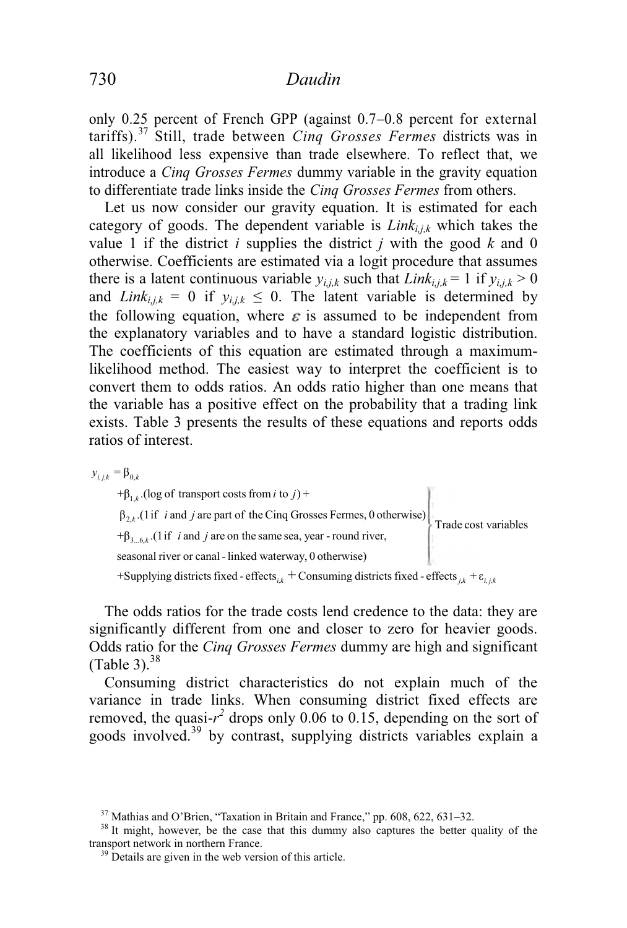only 0.25 percent of French GPP (against 0.7–0.8 percent for external tariffs).37 Still, trade between *Cinq Grosses Fermes* districts was in all likelihood less expensive than trade elsewhere. To reflect that, we introduce a *Cinq Grosses Fermes* dummy variable in the gravity equation to differentiate trade links inside the *Cinq Grosses Fermes* from others.

 Let us now consider our gravity equation. It is estimated for each category of goods. The dependent variable is *Linki,j,k* which takes the value 1 if the district  $i$  supplies the district  $j$  with the good  $k$  and 0 otherwise. Coefficients are estimated via a logit procedure that assumes there is a latent continuous variable  $y_{i,j,k}$  such that  $Link_{i,j,k} = 1$  if  $y_{i,j,k} > 0$ and *Link*<sub>i,jk</sub> = 0 if  $y_{i,j,k} \le 0$ . The latent variable is determined by the following equation, where  $\varepsilon$  is assumed to be independent from the explanatory variables and to have a standard logistic distribution. The coefficients of this equation are estimated through a maximumlikelihood method. The easiest way to interpret the coefficient is to convert them to odds ratios. An odds ratio higher than one means that the variable has a positive effect on the probability that a trading link exists. Table 3 presents the results of these equations and reports odds ratios of interest.

 $y_{i,j,k} = \beta_{0,k}$ 

 $+\beta_{1,k}$ .(log of transport costs from *i* to *j*) +  $\beta_{2,k}$  (1 if *i* and *j* are part of the Cinq Grosses Fermes, 0 otherwise) Trade cost variables  $+\beta_{3\dots6,k}$ . (1 if *i* and *j* are on the same sea, year - round river, seasonal riv er or canal - linked waterway, 0 otherwise) +Supplying districts fixed - effects<sub>ik</sub> + Consuming districts fixed - effects<sub>ik</sub> +  $\varepsilon$ <sub>*ijk*</sub>

 The odds ratios for the trade costs lend credence to the data: they are significantly different from one and closer to zero for heavier goods. Odds ratio for the *Cinq Grosses Fermes* dummy are high and significant (Table 3). $38$ 

 Consuming district characteristics do not explain much of the variance in trade links. When consuming district fixed effects are removed, the quasi- $r^2$  drops only 0.06 to 0.15, depending on the sort of goods involved.39 by contrast, supplying districts variables explain a

<sup>&</sup>lt;sup>37</sup> Mathias and O'Brien, "Taxation in Britain and France," pp. 608, 622, 631–32.<br><sup>38</sup> It might, however, be the case that this dummy also captures the better quality of the transport network in northern France.<br><sup>39</sup> Details are given in the web version of this article.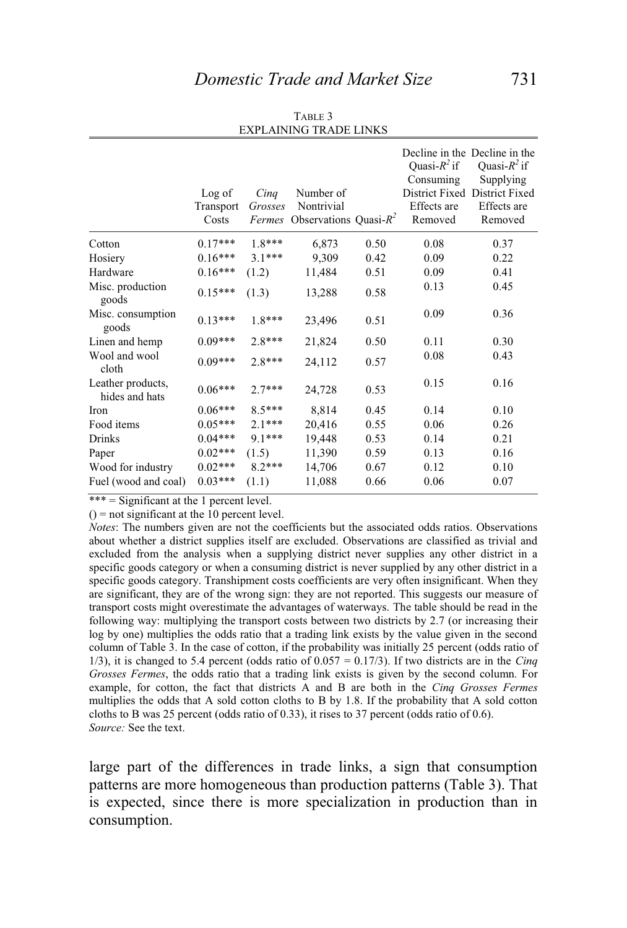|                                     | Log of<br>Transport<br>Costs | Cinq<br>Grosses<br>Fermes | Number of<br>Nontrivial<br>Observations Quasi- $R^2$ |      | Quasi- $R^2$ if<br>Consuming<br>Effects are<br>Removed | Decline in the Decline in the<br>Quasi- $R^2$ if<br>Supplying<br>District Fixed District Fixed<br>Effects are<br>Removed |
|-------------------------------------|------------------------------|---------------------------|------------------------------------------------------|------|--------------------------------------------------------|--------------------------------------------------------------------------------------------------------------------------|
| Cotton                              | $0.17***$                    | $1.8***$                  | 6,873                                                | 0.50 | 0.08                                                   | 0.37                                                                                                                     |
| Hosiery                             | $0.16***$                    | $3.1***$                  | 9,309                                                | 0.42 | 0.09                                                   | 0.22                                                                                                                     |
| Hardware                            | $0.16***$                    | (1.2)                     | 11,484                                               | 0.51 | 0.09                                                   | 0.41                                                                                                                     |
| Misc. production<br>goods           | $0.15***$                    | (1.3)                     | 13,288                                               | 0.58 | 0.13                                                   | 0.45                                                                                                                     |
| Misc. consumption<br>goods          | $0.13***$                    | 1.8***                    | 23,496                                               | 0.51 | 0.09                                                   | 0.36                                                                                                                     |
| Linen and hemp                      | $0.09***$                    | $2.8***$                  | 21,824                                               | 0.50 | 0.11                                                   | 0.30                                                                                                                     |
| Wool and wool<br>cloth              | $0.09***$                    | $2.8***$                  | 24,112                                               | 0.57 | 0.08                                                   | 0.43                                                                                                                     |
| Leather products,<br>hides and hats | $0.06***$                    | $2.7***$                  | 24,728                                               | 0.53 | 0.15                                                   | 0.16                                                                                                                     |
| Iron                                | $0.06***$                    | $8.5***$                  | 8,814                                                | 0.45 | 0.14                                                   | 0.10                                                                                                                     |
| Food items                          | $0.05***$                    | $2.1***$                  | 20,416                                               | 0.55 | 0.06                                                   | 0.26                                                                                                                     |
| <b>Drinks</b>                       | $0.04***$                    | $9.1***$                  | 19,448                                               | 0.53 | 0.14                                                   | 0.21                                                                                                                     |
| Paper                               | $0.02***$                    | (1.5)                     | 11,390                                               | 0.59 | 0.13                                                   | 0.16                                                                                                                     |
| Wood for industry                   | $0.02***$                    | $8.2***$                  | 14,706                                               | 0.67 | 0.12                                                   | 0.10                                                                                                                     |
| Fuel (wood and coal)                | $0.03***$                    | (1.1)                     | 11,088                                               | 0.66 | 0.06                                                   | 0.07                                                                                                                     |

TABLE 3 EXPLAINING TRADE LINKS

\*\*\* = Significant at the 1 percent level.

 $() =$  not significant at the 10 percent level.

*Notes*: The numbers given are not the coefficients but the associated odds ratios. Observations about whether a district supplies itself are excluded. Observations are classified as trivial and excluded from the analysis when a supplying district never supplies any other district in a specific goods category or when a consuming district is never supplied by any other district in a specific goods category. Transhipment costs coefficients are very often insignificant. When they are significant, they are of the wrong sign: they are not reported. This suggests our measure of transport costs might overestimate the advantages of waterways. The table should be read in the following way: multiplying the transport costs between two districts by 2.7 (or increasing their log by one) multiplies the odds ratio that a trading link exists by the value given in the second column of Table 3. In the case of cotton, if the probability was initially 25 percent (odds ratio of 1/3), it is changed to 5.4 percent (odds ratio of 0.057 = 0.17/3). If two districts are in the *Cinq Grosses Fermes*, the odds ratio that a trading link exists is given by the second column. For example, for cotton, the fact that districts A and B are both in the *Cinq Grosses Fermes* multiplies the odds that A sold cotton cloths to B by 1.8. If the probability that A sold cotton cloths to B was 25 percent (odds ratio of 0.33), it rises to 37 percent (odds ratio of 0.6). *Source:* See the text.

large part of the differences in trade links, a sign that consumption patterns are more homogeneous than production patterns (Table 3). That is expected, since there is more specialization in production than in consumption.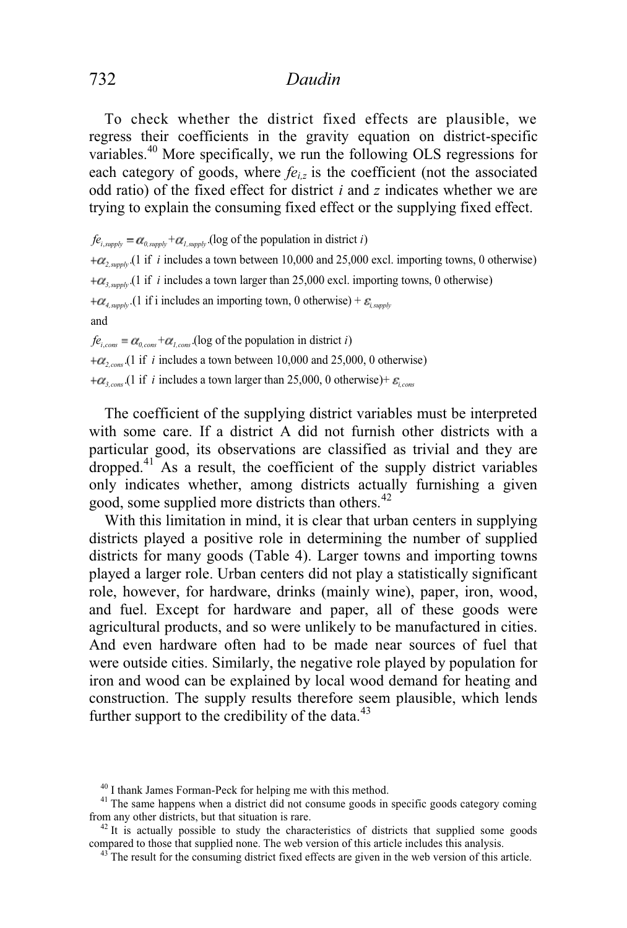To check whether the district fixed effects are plausible, we regress their coefficients in the gravity equation on district-specific variables.40 More specifically, we run the following OLS regressions for each category of goods, where  $f_{e_i}$  is the coefficient (not the associated odd ratio) of the fixed effect for district *i* and *z* indicates whether we are trying to explain the consuming fixed effect or the supplying fixed effect.

 $f e_{i, \text{supply}} = \alpha_{0, \text{supply}} + \alpha_{i, \text{supply}}$  (log of the population in district *i*)  $+\alpha_{2, \text{sum}}$  (1 if *i* includes a town between 10,000 and 25,000 excl. importing towns, 0 otherwise)  $+\alpha_{s, \text{supply}}$  (1 if *i* includes a town larger than 25,000 excl. importing towns, 0 otherwise)  $+\alpha_{\textit{a}}$ <sub>supply</sub> (1 if i includes an importing town, 0 otherwise) +  $\varepsilon_{\textit{i}}$ <sub>supply</sub> and  $f_{e_{i,cons}} = \alpha_{0,cons} + \alpha_{t,cons}$ .(log of the population in district *i*)  $+\alpha$ <sub>cons</sub>.(1 if *i* includes a town between 10,000 and 25,000, 0 otherwise)  $+\alpha_{3,cons}$ .(1 if *i* includes a town larger than 25,000, 0 otherwise)+  $\varepsilon_{i,cons}$ 

 The coefficient of the supplying district variables must be interpreted with some care. If a district A did not furnish other districts with a particular good, its observations are classified as trivial and they are dropped.41 As a result, the coefficient of the supply district variables only indicates whether, among districts actually furnishing a given good, some supplied more districts than others.<sup>42</sup>

 With this limitation in mind, it is clear that urban centers in supplying districts played a positive role in determining the number of supplied districts for many goods (Table 4). Larger towns and importing towns played a larger role. Urban centers did not play a statistically significant role, however, for hardware, drinks (mainly wine), paper, iron, wood, and fuel. Except for hardware and paper, all of these goods were agricultural products, and so were unlikely to be manufactured in cities. And even hardware often had to be made near sources of fuel that were outside cities. Similarly, the negative role played by population for iron and wood can be explained by local wood demand for heating and construction. The supply results therefore seem plausible, which lends further support to the credibility of the data. $43$ 

<sup>&</sup>lt;sup>40</sup> I thank James Forman-Peck for helping me with this method.

<sup>&</sup>lt;sup>41</sup> The same happens when a district did not consume goods in specific goods category coming from any other districts, but that situation is rare.<br> $42$  It is actually possible to study the characteristics of districts that supplied some goods

compared to those that supplied none. The web version of this article includes this analysis.<br><sup>43</sup> The result for the consuming district fixed effects are given in the web version of this article.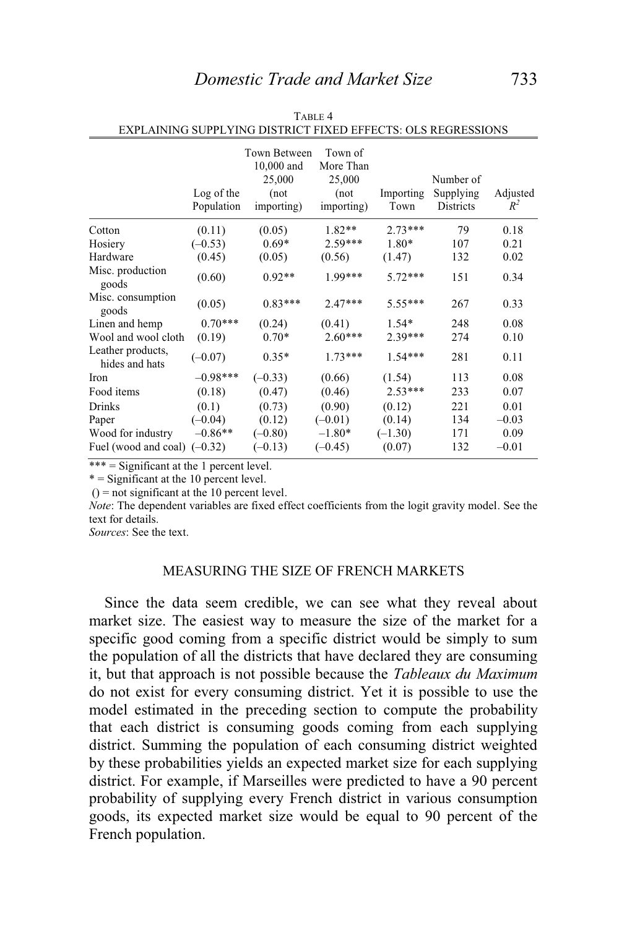|                                     | Log of the<br>Population | Town Between<br>10,000 and<br>25,000<br>(not)<br>importing) | Town of<br>More Than<br>25,000<br>(not)<br>importing) | Importing<br>Town | Number of<br>Supplying<br>Districts | Adjusted<br>$R^2$ |
|-------------------------------------|--------------------------|-------------------------------------------------------------|-------------------------------------------------------|-------------------|-------------------------------------|-------------------|
| Cotton                              | (0.11)                   | (0.05)                                                      | $1.82**$                                              | $2.73***$         | 79                                  | 0.18              |
| Hosiery                             | $(-0.53)$                | $0.69*$                                                     | $2.59***$                                             | $1.80*$           | 107                                 | 0.21              |
| Hardware                            | (0.45)                   | (0.05)                                                      | (0.56)                                                | (1.47)            | 132                                 | 0.02              |
| Misc. production<br>goods           | (0.60)                   | $0.92**$                                                    | $1.99***$                                             | $5.72***$         | 151                                 | 0.34              |
| Misc. consumption<br>goods          | (0.05)                   | $0.83***$                                                   | $2.47***$                                             | $5.55***$         | 267                                 | 0.33              |
| Linen and hemp                      | $0.70***$                | (0.24)                                                      | (0.41)                                                | $1.54*$           | 248                                 | 0.08              |
| Wool and wool cloth                 | (0.19)                   | $0.70*$                                                     | $2.60***$                                             | $2.39***$         | 274                                 | 0.10              |
| Leather products,<br>hides and hats | $(-0.07)$                | $0.35*$                                                     | $1.73***$                                             | $1.54***$         | 281                                 | 0.11              |
| Iron                                | $-0.98***$               | $(-0.33)$                                                   | (0.66)                                                | (1.54)            | 113                                 | 0.08              |
| Food items                          | (0.18)                   | (0.47)                                                      | (0.46)                                                | $2.53***$         | 233                                 | 0.07              |
| Drinks                              | (0.1)                    | (0.73)                                                      | (0.90)                                                | (0.12)            | 221                                 | 0.01              |
| Paper                               | $(-0.04)$                | (0.12)                                                      | $(-0.01)$                                             | (0.14)            | 134                                 | $-0.03$           |
| Wood for industry                   | $-0.86**$                | $(-0.80)$                                                   | $-1.80*$                                              | $(-1.30)$         | 171                                 | 0.09              |
| Fuel (wood and coal) $(-0.32)$      |                          | $(-0.13)$                                                   | $(-0.45)$                                             | (0.07)            | 132                                 | $-0.01$           |

| TABLE 4                                                      |  |
|--------------------------------------------------------------|--|
| EXPLAINING SUPPLYING DISTRICT FIXED EFFECTS: OLS REGRESSIONS |  |

 $*** =$  Significant at the 1 percent level.

 $*$  = Significant at the 10 percent level.

 $() = not significant at the 10 percent level.$ 

*Note*: The dependent variables are fixed effect coefficients from the logit gravity model. See the text for details.

*Sources*: See the text.

### MEASURING THE SIZE OF FRENCH MARKETS

 Since the data seem credible, we can see what they reveal about market size. The easiest way to measure the size of the market for a specific good coming from a specific district would be simply to sum the population of all the districts that have declared they are consuming it, but that approach is not possible because the *Tableaux du Maximum*  do not exist for every consuming district. Yet it is possible to use the model estimated in the preceding section to compute the probability that each district is consuming goods coming from each supplying district. Summing the population of each consuming district weighted by these probabilities yields an expected market size for each supplying district. For example, if Marseilles were predicted to have a 90 percent probability of supplying every French district in various consumption goods, its expected market size would be equal to 90 percent of the French population.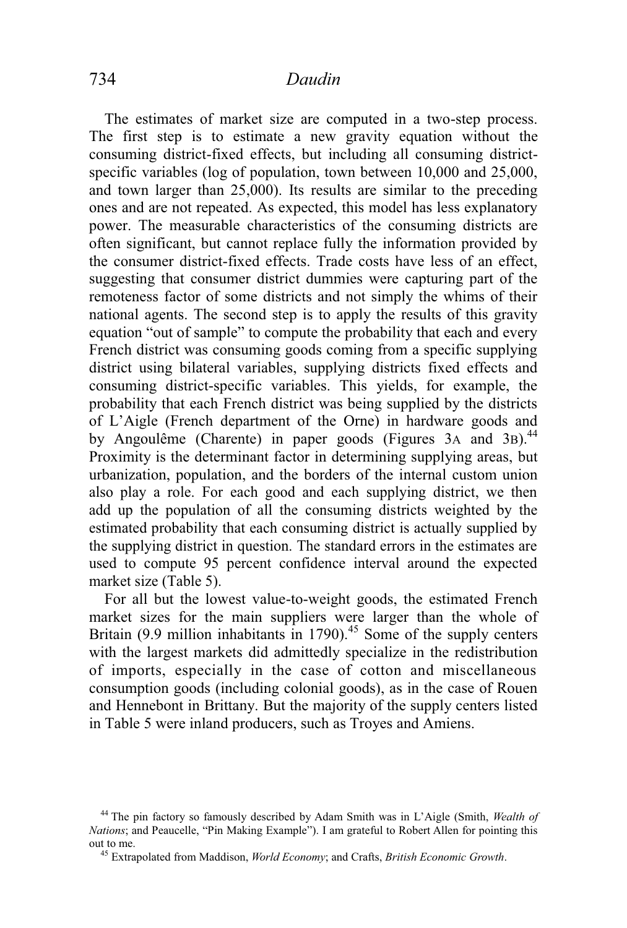The estimates of market size are computed in a two-step process. The first step is to estimate a new gravity equation without the consuming district-fixed effects, but including all consuming districtspecific variables (log of population, town between 10,000 and 25,000, and town larger than 25,000). Its results are similar to the preceding ones and are not repeated. As expected, this model has less explanatory power. The measurable characteristics of the consuming districts are often significant, but cannot replace fully the information provided by the consumer district-fixed effects. Trade costs have less of an effect, suggesting that consumer district dummies were capturing part of the remoteness factor of some districts and not simply the whims of their national agents. The second step is to apply the results of this gravity equation "out of sample" to compute the probability that each and every French district was consuming goods coming from a specific supplying district using bilateral variables, supplying districts fixed effects and consuming district-specific variables. This yields, for example, the probability that each French district was being supplied by the districts of L'Aigle (French department of the Orne) in hardware goods and by Angoulême (Charente) in paper goods (Figures 3A and 3B).<sup>44</sup> Proximity is the determinant factor in determining supplying areas, but urbanization, population, and the borders of the internal custom union also play a role. For each good and each supplying district, we then add up the population of all the consuming districts weighted by the estimated probability that each consuming district is actually supplied by the supplying district in question. The standard errors in the estimates are used to compute 95 percent confidence interval around the expected market size (Table 5).

 For all but the lowest value-to-weight goods, the estimated French market sizes for the main suppliers were larger than the whole of Britain (9.9 million inhabitants in  $1790$ ).<sup>45</sup> Some of the supply centers with the largest markets did admittedly specialize in the redistribution of imports, especially in the case of cotton and miscellaneous consumption goods (including colonial goods), as in the case of Rouen and Hennebont in Brittany. But the majority of the supply centers listed in Table 5 were inland producers, such as Troyes and Amiens.

<sup>44</sup> The pin factory so famously described by Adam Smith was in L'Aigle (Smith, *Wealth of Nations*; and Peaucelle, "Pin Making Example"). I am grateful to Robert Allen for pointing this out to me. 45 Extrapolated from Maddison, *World Economy*; and Crafts, *British Economic Growth*.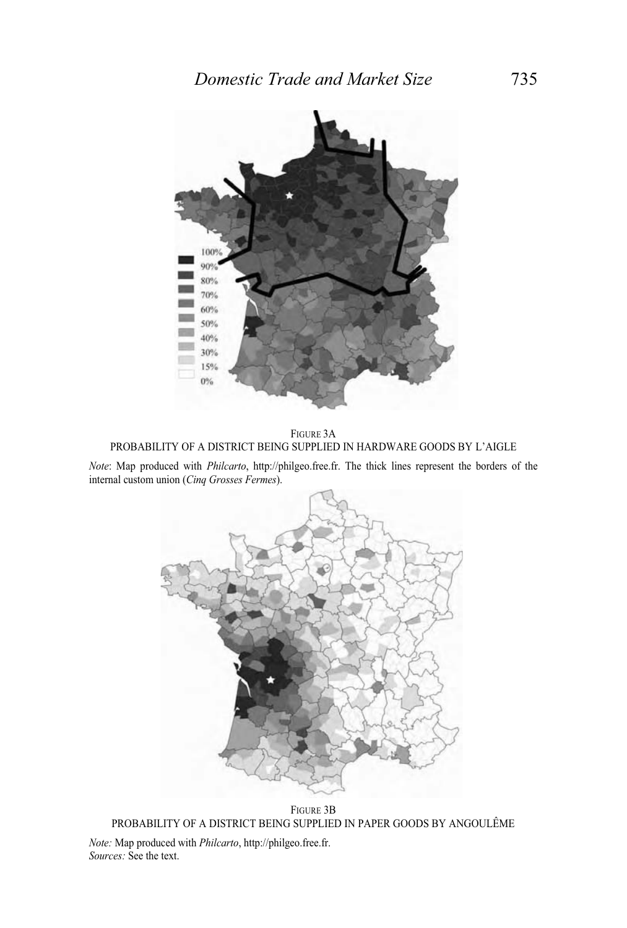

FIGURE 3A PROBABILITY OF A DISTRICT BEING SUPPLIED IN HARDWARE GOODS BY L'AIGLE

*Note*: Map produced with *Philcarto*, http://philgeo.free.fr. The thick lines represent the borders of the internal custom union (*Cinq Grosses Fermes*).



FIGURE 3B PROBABILITY OF A DISTRICT BEING SUPPLIED IN PAPER GOODS BY ANGOULÊME *Note:* Map produced with *Philcarto*, http://philgeo.free.fr.

*Sources:* See the text.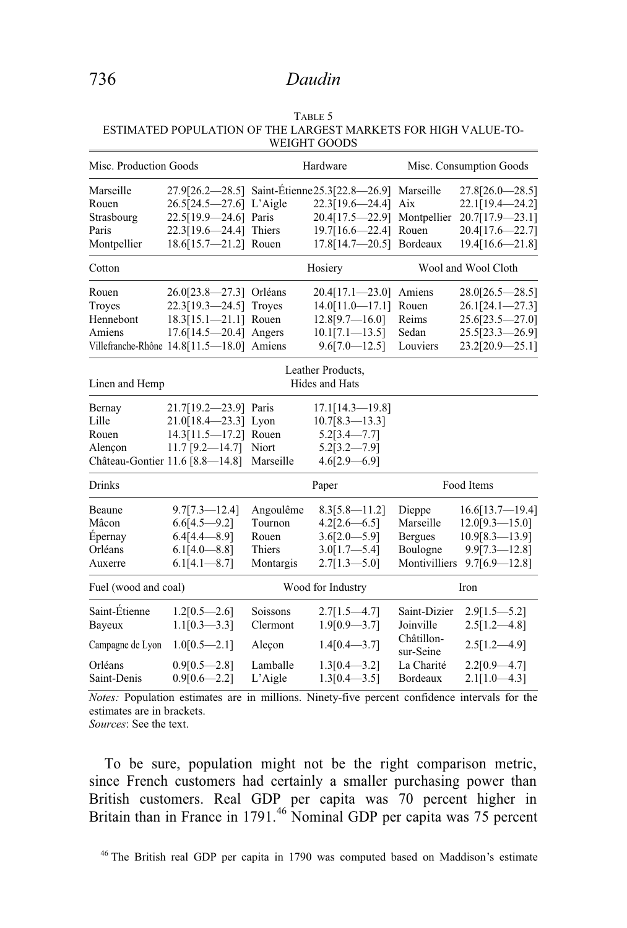| Misc. Production Goods<br>27.9[26.2-28.5] Saint-Étienne 25.3[22.8-26.9] Marseille<br>26.5[24.5-27.6] L'Aigle |                     | Hardware                                                                                                                                                                                                                                                                                                                                          |                                                                                        | Misc. Consumption Goods                                                                          |  |
|--------------------------------------------------------------------------------------------------------------|---------------------|---------------------------------------------------------------------------------------------------------------------------------------------------------------------------------------------------------------------------------------------------------------------------------------------------------------------------------------------------|----------------------------------------------------------------------------------------|--------------------------------------------------------------------------------------------------|--|
|                                                                                                              |                     |                                                                                                                                                                                                                                                                                                                                                   |                                                                                        |                                                                                                  |  |
|                                                                                                              |                     |                                                                                                                                                                                                                                                                                                                                                   |                                                                                        | $27.8[26.0 - 28.5]$                                                                              |  |
|                                                                                                              |                     | 22.3[19.6-24.4]                                                                                                                                                                                                                                                                                                                                   | Aix                                                                                    | 22.1[19.4-24.2]                                                                                  |  |
|                                                                                                              |                     |                                                                                                                                                                                                                                                                                                                                                   |                                                                                        | 20.7[17.9-23.1]                                                                                  |  |
|                                                                                                              |                     |                                                                                                                                                                                                                                                                                                                                                   |                                                                                        | 20.4[17.6-22.7]                                                                                  |  |
|                                                                                                              |                     |                                                                                                                                                                                                                                                                                                                                                   |                                                                                        | 19.4[16.6-21.8]                                                                                  |  |
|                                                                                                              |                     |                                                                                                                                                                                                                                                                                                                                                   |                                                                                        | Wool and Wool Cloth                                                                              |  |
|                                                                                                              |                     | $20.4[17.1 \text{---} 23.0]$                                                                                                                                                                                                                                                                                                                      | Amiens                                                                                 | $28.0[26.5 - 28.5]$                                                                              |  |
|                                                                                                              |                     | $14.0[11.0 - 17.1]$                                                                                                                                                                                                                                                                                                                               | Rouen                                                                                  | 26.1[24.1-27.3]                                                                                  |  |
|                                                                                                              |                     | 12.8[9.7—16.0]                                                                                                                                                                                                                                                                                                                                    | Reims                                                                                  | 25.6[23.5-27.0]                                                                                  |  |
|                                                                                                              |                     | $10.1[7.1 - 13.5]$                                                                                                                                                                                                                                                                                                                                | Sedan                                                                                  | 25.5[23.3-26.9]                                                                                  |  |
|                                                                                                              |                     | $9.6[7.0 - 12.5]$                                                                                                                                                                                                                                                                                                                                 | Louviers                                                                               | 23.2[20.9-25.1]                                                                                  |  |
|                                                                                                              |                     |                                                                                                                                                                                                                                                                                                                                                   |                                                                                        |                                                                                                  |  |
|                                                                                                              |                     |                                                                                                                                                                                                                                                                                                                                                   |                                                                                        |                                                                                                  |  |
|                                                                                                              |                     | $17.1[14.3 - 19.8]$                                                                                                                                                                                                                                                                                                                               |                                                                                        |                                                                                                  |  |
|                                                                                                              |                     | $10.7[8.3 - 13.3]$                                                                                                                                                                                                                                                                                                                                |                                                                                        |                                                                                                  |  |
|                                                                                                              |                     | $5.2[3.4 - 7.7]$                                                                                                                                                                                                                                                                                                                                  |                                                                                        |                                                                                                  |  |
|                                                                                                              |                     | $5.2[3.2 - 7.9]$                                                                                                                                                                                                                                                                                                                                  |                                                                                        |                                                                                                  |  |
| Château-Gontier 11.6 [8.8-14.8]                                                                              |                     | $4.6[2.9 - 6.9]$                                                                                                                                                                                                                                                                                                                                  |                                                                                        |                                                                                                  |  |
|                                                                                                              | Paper               |                                                                                                                                                                                                                                                                                                                                                   | Food Items                                                                             |                                                                                                  |  |
| $9.7[7.3 - 12.4]$                                                                                            | Angoulême           | $8.3[5.8 - 11.2]$                                                                                                                                                                                                                                                                                                                                 | Dieppe                                                                                 | 16.6[13.7—19.4]                                                                                  |  |
| $6.6[4.5-9.2]$                                                                                               | Tournon             | $4.2[2.6 - 6.5]$                                                                                                                                                                                                                                                                                                                                  | Marseille                                                                              | $12.0[9.3 - 15.0]$                                                                               |  |
| $6.4[4.4 - 8.9]$                                                                                             | Rouen               | $3.6[2.0 - 5.9]$                                                                                                                                                                                                                                                                                                                                  | <b>Bergues</b>                                                                         | $10.9[8.3 - 13.9]$                                                                               |  |
| $6.1[4.0 - 8.8]$                                                                                             | Thiers              |                                                                                                                                                                                                                                                                                                                                                   | Boulogne                                                                               | $9.9[7.3 - 12.8]$                                                                                |  |
| $6.1[4.1 - 8.7]$                                                                                             | Montargis           | $2.7[1.3 - 5.0]$                                                                                                                                                                                                                                                                                                                                  |                                                                                        | Montivilliers 9.7[6.9-12.8]                                                                      |  |
| Fuel (wood and coal)                                                                                         |                     | Wood for Industry                                                                                                                                                                                                                                                                                                                                 |                                                                                        | Iron                                                                                             |  |
|                                                                                                              | Soissons            |                                                                                                                                                                                                                                                                                                                                                   |                                                                                        | $2.9[1.5 - 5.2]$                                                                                 |  |
| $1.1[0.3 - 3.3]$                                                                                             | Clermont            | $1.9[0.9 - 3.7]$                                                                                                                                                                                                                                                                                                                                  | Joinville                                                                              | $2.5[1.2 - 4.8]$                                                                                 |  |
| $1.0[0.5-2.1]$                                                                                               | Aleçon              | $1.4[0.4 - 3.7]$                                                                                                                                                                                                                                                                                                                                  | Châtillon-<br>sur-Seine                                                                | $2.5[1.2 - 4.9]$                                                                                 |  |
| $0.9[0.5 - 2.8]$<br>$0.9[0.6 - 2.2]$                                                                         | Lamballe<br>L'Aigle | $1.3[0.4 - 3.2]$<br>$1.3[0.4 - 3.5]$                                                                                                                                                                                                                                                                                                              | La Charité<br>Bordeaux                                                                 | $2.2[0.9 - 4.7]$<br>$2.1[1.0 - 4.3]$                                                             |  |
|                                                                                                              | $1.2[0.5 - 2.6]$    | 22.5[19.9-24.6] Paris<br>22.3[19.6-24.4] Thiers<br>18.6[15.7-21.2] Rouen<br>26.0[23.8-27.3] Orléans<br>22.3[19.3-24.5] Troyes<br>18.3[15.1-21.1] Rouen<br>17.6[14.5-20.4] Angers<br>Villefranche-Rhône 14.8[11.5-18.0] Amiens<br>21.7[19.2-23.9] Paris<br>$21.0[18.4 - 23.3]$ Lyon<br>14.3[11.5-17.2] Rouen<br>11.7 [9.2-14.7] Niort<br>Marseille | Hosiery<br>Leather Products,<br>Hides and Hats<br>$3.0[1.7 - 5.4]$<br>$2.7[1.5 - 4.7]$ | 20.4[17.5-22.9] Montpellier<br>19.7[16.6-22.4] Rouen<br>17.8[14.7-20.5] Bordeaux<br>Saint-Dizier |  |

TABLE 5 ESTIMATED POPULATION OF THE LARGEST MARKETS FOR HIGH VALUE-TO-WEIGHT GOODS

*Notes:* Population estimates are in millions. Ninety-five percent confidence intervals for the estimates are in brackets.

*Sources*: See the text.

 To be sure, population might not be the right comparison metric, since French customers had certainly a smaller purchasing power than British customers. Real GDP per capita was 70 percent higher in Britain than in France in 1791.<sup>46</sup> Nominal GDP per capita was 75 percent

46 The British real GDP per capita in 1790 was computed based on Maddison's estimate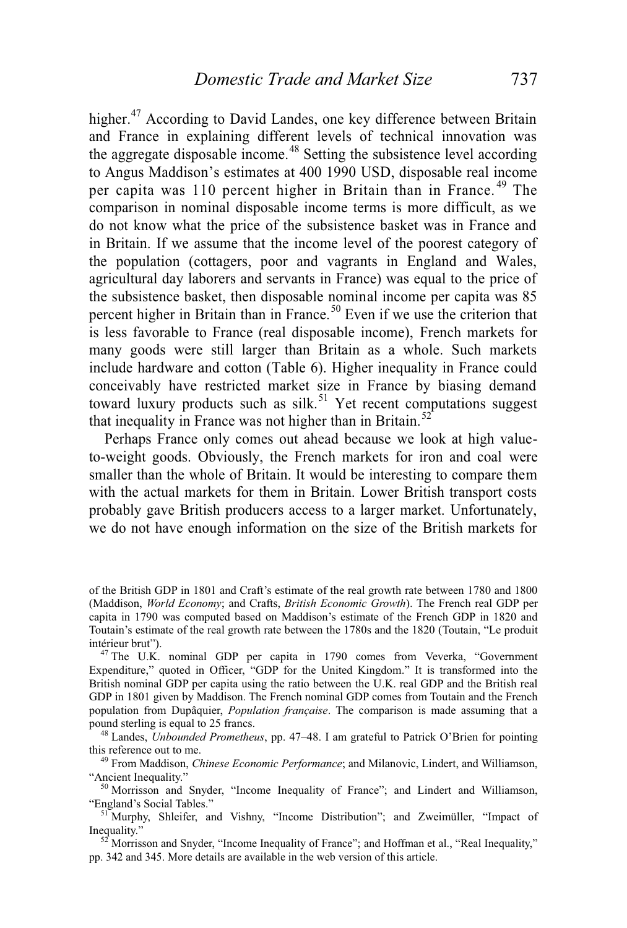higher.<sup>47</sup> According to David Landes, one key difference between Britain and France in explaining different levels of technical innovation was the aggregate disposable income.<sup>48</sup> Setting the subsistence level according to Angus Maddison's estimates at 400 1990 USD, disposable real income per capita was 110 percent higher in Britain than in France.<sup>49</sup> The comparison in nominal disposable income terms is more difficult, as we do not know what the price of the subsistence basket was in France and in Britain. If we assume that the income level of the poorest category of the population (cottagers, poor and vagrants in England and Wales, agricultural day laborers and servants in France) was equal to the price of the subsistence basket, then disposable nominal income per capita was 85 percent higher in Britain than in France.<sup>50</sup> Even if we use the criterion that is less favorable to France (real disposable income), French markets for many goods were still larger than Britain as a whole. Such markets include hardware and cotton (Table 6). Higher inequality in France could conceivably have restricted market size in France by biasing demand toward luxury products such as silk.<sup>51</sup> Yet recent computations suggest that inequality in France was not higher than in Britain.<sup>52</sup>

 Perhaps France only comes out ahead because we look at high valueto-weight goods. Obviously, the French markets for iron and coal were smaller than the whole of Britain. It would be interesting to compare them with the actual markets for them in Britain. Lower British transport costs probably gave British producers access to a larger market. Unfortunately, we do not have enough information on the size of the British markets for

of the British GDP in 1801 and Craft's estimate of the real growth rate between 1780 and 1800 (Maddison, *World Economy*; and Crafts, *British Economic Growth*). The French real GDP per capita in 1790 was computed based on Maddison's estimate of the French GDP in 1820 and Toutain's estimate of the real growth rate between the 1780s and the 1820 (Toutain, "Le produit intérieur brut"). 47 The U.K. nominal GDP per capita in 1790 comes from Veverka, "Government

Expenditure," quoted in Officer, "GDP for the United Kingdom." It is transformed into the British nominal GDP per capita using the ratio between the U.K. real GDP and the British real GDP in 1801 given by Maddison. The French nominal GDP comes from Toutain and the French population from Dupâquier, *Population française*. The comparison is made assuming that a

pound sterling is equal to 25 francs.<br><sup>48</sup> Landes, *Unbounded Prometheus*, pp. 47–48. I am grateful to Patrick O'Brien for pointing this reference out to me.

<sup>&</sup>lt;sup>49</sup> From Maddison, *Chinese Economic Performance*; and Milanovic, Lindert, and Williamson, "Ancient Inequality."

 $^{50}$  Morrisson and Snyder, "Income Inequality of France"; and Lindert and Williamson, "England's Social Tables."

<sup>&</sup>lt;sup>51</sup> Murphy, Shleifer, and Vishny, "Income Distribution"; and Zweimüller, "Impact of Inequality."<br><sup>52</sup> Morrisson and Snyder, "Income Inequality of France"; and Hoffman et al., "Real Inequality,"

pp. 342 and 345. More details are available in the web version of this article.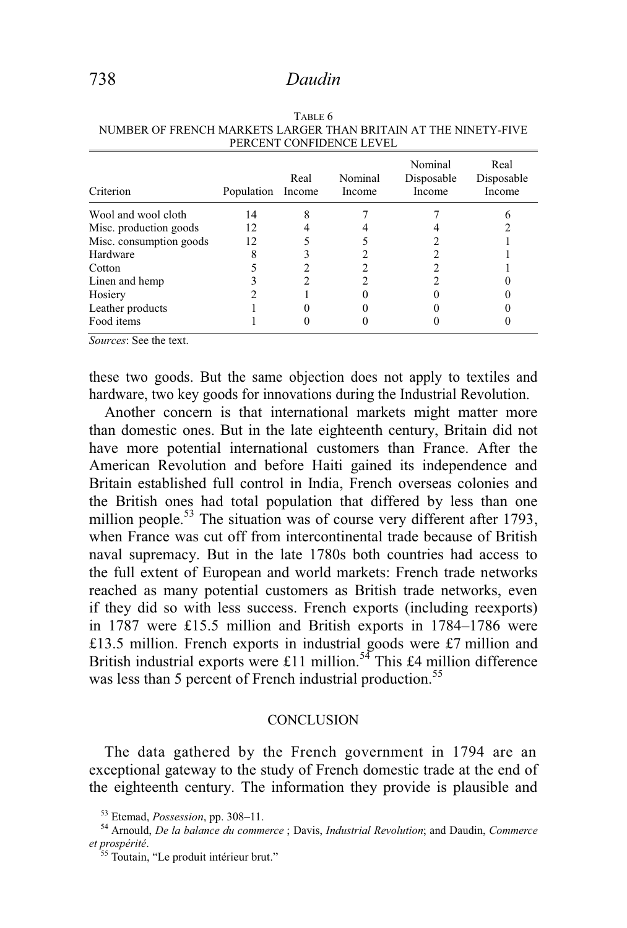| Criterion               | Population | Real<br>Income | Nominal<br>Income | Nominal<br>Disposable<br>Income | Real<br>Disposable<br>Income |
|-------------------------|------------|----------------|-------------------|---------------------------------|------------------------------|
| Wool and wool cloth     | 14         |                |                   |                                 |                              |
| Misc. production goods  | 12         |                |                   |                                 |                              |
| Misc. consumption goods | 12         |                |                   |                                 |                              |
| Hardware                |            |                |                   |                                 |                              |
| Cotton                  |            |                |                   |                                 |                              |
| Linen and hemp          |            |                |                   |                                 |                              |
| Hosiery                 |            |                |                   |                                 |                              |
| Leather products        |            |                |                   |                                 |                              |
| Food items              |            |                |                   |                                 |                              |

TABLE 6 NUMBER OF FRENCH MARKETS LARGER THAN BRITAIN AT THE NINETY-FIVE PERCENT CONFIDENCE LEVEL

*Sources*: See the text.

these two goods. But the same objection does not apply to textiles and hardware, two key goods for innovations during the Industrial Revolution.

Another concern is that international markets might matter more than domestic ones. But in the late eighteenth century, Britain did not have more potential international customers than France. After the American Revolution and before Haiti gained its independence and Britain established full control in India, French overseas colonies and the British ones had total population that differed by less than one million people.<sup>53</sup> The situation was of course very different after 1793, when France was cut off from intercontinental trade because of British naval supremacy. But in the late 1780s both countries had access to the full extent of European and world markets: French trade networks reached as many potential customers as British trade networks, even if they did so with less success. French exports (including reexports) in 1787 were £15.5 million and British exports in 1784–1786 were £13.5 million. French exports in industrial goods were £7 million and British industrial exports were £11 million.<sup>54</sup> This £4 million difference was less than 5 percent of French industrial production.<sup>55</sup>

#### **CONCLUSION**

 The data gathered by the French government in 1794 are an exceptional gateway to the study of French domestic trade at the end of the eighteenth century. The information they provide is plausible and

<sup>53</sup> Etemad, *Possession*, pp. 308–11. 54 Arnould, *De la balance du commerce* ; Davis, *Industrial Revolution*; and Daudin, *Commerce et prospérité*. 55 Toutain, "Le produit intérieur brut."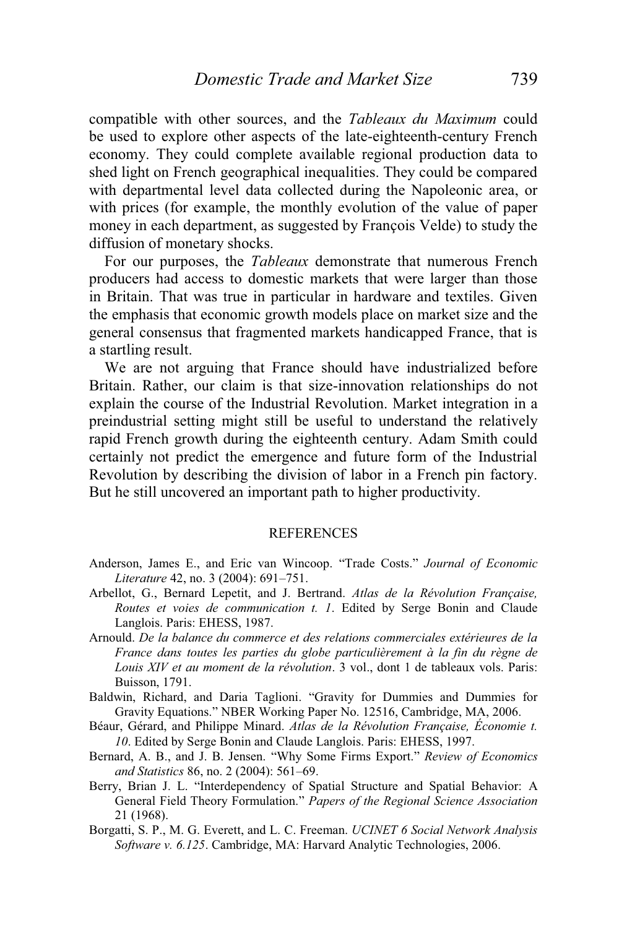compatible with other sources, and the *Tableaux du Maximum* could be used to explore other aspects of the late-eighteenth-century French economy. They could complete available regional production data to shed light on French geographical inequalities. They could be compared with departmental level data collected during the Napoleonic area, or with prices (for example, the monthly evolution of the value of paper money in each department, as suggested by François Velde) to study the diffusion of monetary shocks.

 For our purposes, the *Tableaux* demonstrate that numerous French producers had access to domestic markets that were larger than those in Britain. That was true in particular in hardware and textiles. Given the emphasis that economic growth models place on market size and the general consensus that fragmented markets handicapped France, that is a startling result.

 We are not arguing that France should have industrialized before Britain. Rather, our claim is that size-innovation relationships do not explain the course of the Industrial Revolution. Market integration in a preindustrial setting might still be useful to understand the relatively rapid French growth during the eighteenth century. Adam Smith could certainly not predict the emergence and future form of the Industrial Revolution by describing the division of labor in a French pin factory. But he still uncovered an important path to higher productivity.

#### **REFERENCES**

- Anderson, James E., and Eric van Wincoop. "Trade Costs." *Journal of Economic Literature* 42, no. 3 (2004): 691–751.
- Arbellot, G., Bernard Lepetit, and J. Bertrand. *Atlas de la Révolution Française, Routes et voies de communication t. 1*. Edited by Serge Bonin and Claude Langlois. Paris: EHESS, 1987.
- Arnould. *De la balance du commerce et des relations commerciales extérieures de la France dans toutes les parties du globe particulièrement à la fin du règne de Louis XIV et au moment de la révolution*. 3 vol., dont 1 de tableaux vols. Paris: Buisson, 1791.
- Baldwin, Richard, and Daria Taglioni. "Gravity for Dummies and Dummies for Gravity Equations." NBER Working Paper No. 12516, Cambridge, MA, 2006.
- Béaur, Gérard, and Philippe Minard. *Atlas de la Révolution Française, Économie t. 10*. Edited by Serge Bonin and Claude Langlois. Paris: EHESS, 1997.
- Bernard, A. B., and J. B. Jensen. "Why Some Firms Export." *Review of Economics and Statistics* 86, no. 2 (2004): 561–69.
- Berry, Brian J. L. "Interdependency of Spatial Structure and Spatial Behavior: A General Field Theory Formulation." *Papers of the Regional Science Association* 21 (1968).
- Borgatti, S. P., M. G. Everett, and L. C. Freeman. *UCINET 6 Social Network Analysis Software v. 6.125*. Cambridge, MA: Harvard Analytic Technologies, 2006.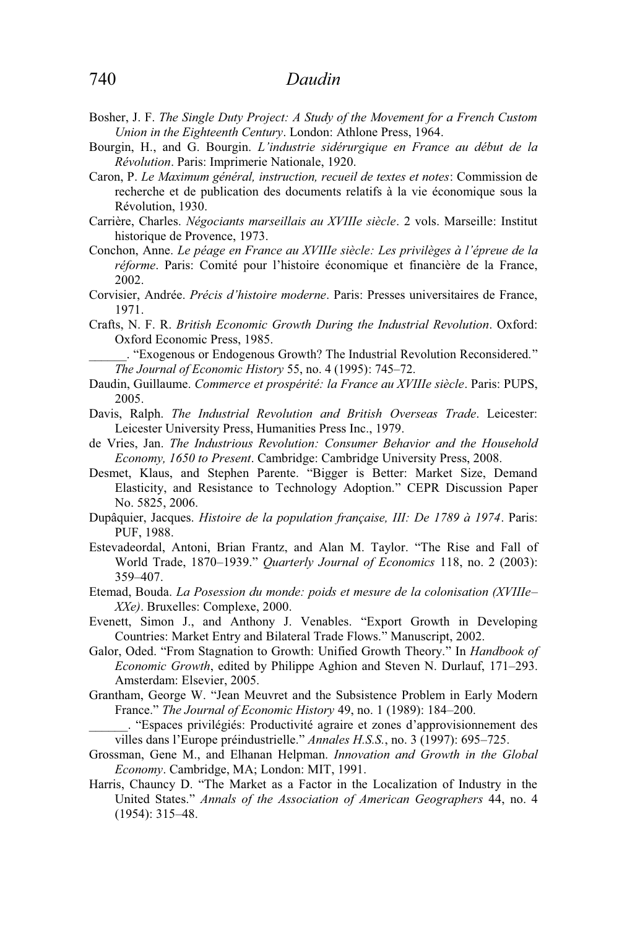- Bosher, J. F. *The Single Duty Project: A Study of the Movement for a French Custom Union in the Eighteenth Century*. London: Athlone Press, 1964.
- Bourgin, H., and G. Bourgin. *L'industrie sidérurgique en France au début de la Révolution*. Paris: Imprimerie Nationale, 1920.
- Caron, P. *Le Maximum général, instruction, recueil de textes et notes*: Commission de recherche et de publication des documents relatifs à la vie économique sous la Révolution, 1930.
- Carrière, Charles. *Négociants marseillais au XVIIIe siècle*. 2 vols. Marseille: Institut historique de Provence, 1973.
- Conchon, Anne. *Le péage en France au XVIIIe siècle: Les privilèges à l'épreue de la réforme*. Paris: Comité pour l'histoire économique et financière de la France, 2002.
- Corvisier, Andrée. *Précis d'histoire moderne*. Paris: Presses universitaires de France, 1971.
- Crafts, N. F. R. *British Economic Growth During the Industrial Revolution*. Oxford: Oxford Economic Press, 1985.

\_\_\_\_\_\_. "Exogenous or Endogenous Growth? The Industrial Revolution Reconsidered." *The Journal of Economic History* 55, no. 4 (1995): 745–72.

- Daudin, Guillaume. *Commerce et prospérité: la France au XVIIIe siècle*. Paris: PUPS, 2005.
- Davis, Ralph. *The Industrial Revolution and British Overseas Trade*. Leicester: Leicester University Press, Humanities Press Inc., 1979.
- de Vries, Jan. *The Industrious Revolution: Consumer Behavior and the Household Economy, 1650 to Present*. Cambridge: Cambridge University Press, 2008.
- Desmet, Klaus, and Stephen Parente. "Bigger is Better: Market Size, Demand Elasticity, and Resistance to Technology Adoption." CEPR Discussion Paper No. 5825, 2006.
- Dupâquier, Jacques. *Histoire de la population française, III: De 1789 à 1974*. Paris: PUF, 1988.
- Estevadeordal, Antoni, Brian Frantz, and Alan M. Taylor. "The Rise and Fall of World Trade, 1870–1939." *Quarterly Journal of Economics* 118, no. 2 (2003): 359–407.
- Etemad, Bouda. *La Posession du monde: poids et mesure de la colonisation (XVIIIe– XXe)*. Bruxelles: Complexe, 2000.
- Evenett, Simon J., and Anthony J. Venables. "Export Growth in Developing Countries: Market Entry and Bilateral Trade Flows." Manuscript, 2002.
- Galor, Oded. "From Stagnation to Growth: Unified Growth Theory." In *Handbook of Economic Growth*, edited by Philippe Aghion and Steven N. Durlauf, 171–293. Amsterdam: Elsevier, 2005.
- Grantham, George W. "Jean Meuvret and the Subsistence Problem in Early Modern France." *The Journal of Economic History* 49, no. 1 (1989): 184–200.
- \_\_\_\_\_\_. "Espaces privilégiés: Productivité agraire et zones d'approvisionnement des villes dans l'Europe préindustrielle." *Annales H.S.S.*, no. 3 (1997): 695–725.
- Grossman, Gene M., and Elhanan Helpman. *Innovation and Growth in the Global Economy*. Cambridge, MA; London: MIT, 1991.
- Harris, Chauncy D. "The Market as a Factor in the Localization of Industry in the United States." *Annals of the Association of American Geographers* 44, no. 4 (1954): 315–48.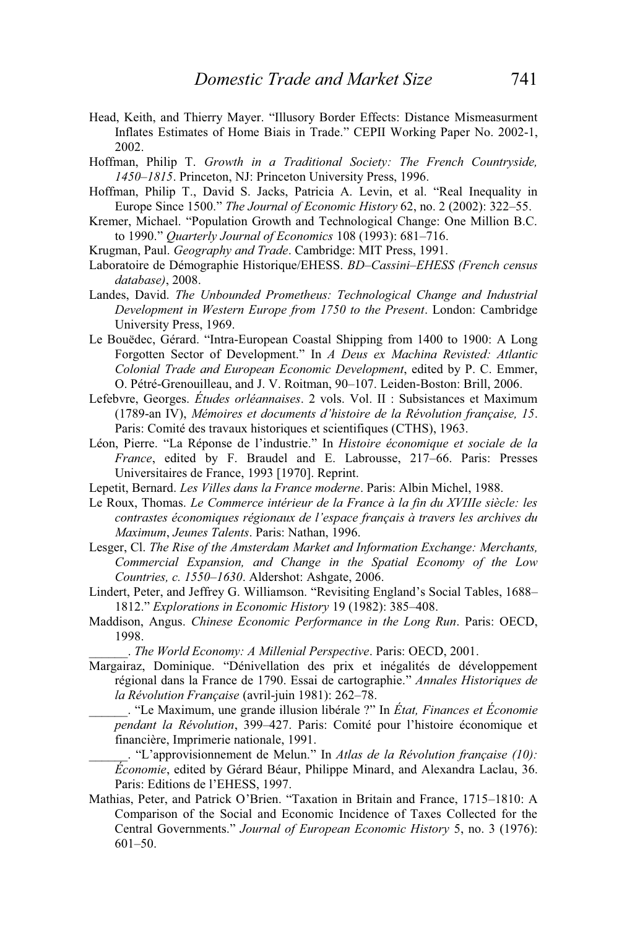- Head, Keith, and Thierry Mayer. "Illusory Border Effects: Distance Mismeasurment Inflates Estimates of Home Biais in Trade." CEPII Working Paper No. 2002-1, 2002.
- Hoffman, Philip T. *Growth in a Traditional Society: The French Countryside, 1450–1815*. Princeton, NJ: Princeton University Press, 1996.
- Hoffman, Philip T., David S. Jacks, Patricia A. Levin, et al. "Real Inequality in Europe Since 1500." *The Journal of Economic History* 62, no. 2 (2002): 322–55.
- Kremer, Michael. "Population Growth and Technological Change: One Million B.C. to 1990." *Quarterly Journal of Economics* 108 (1993): 681–716.
- Krugman, Paul. *Geography and Trade*. Cambridge: MIT Press, 1991.
- Laboratoire de Démographie Historique/EHESS. *BD–Cassini–EHESS (French census database)*, 2008.
- Landes, David. *The Unbounded Prometheus: Technological Change and Industrial Development in Western Europe from 1750 to the Present*. London: Cambridge University Press, 1969.
- Le Bouëdec, Gérard. "Intra-European Coastal Shipping from 1400 to 1900: A Long Forgotten Sector of Development." In *A Deus ex Machina Revisted: Atlantic Colonial Trade and European Economic Development*, edited by P. C. Emmer, O. Pétré-Grenouilleau, and J. V. Roitman, 90–107. Leiden-Boston: Brill, 2006.
- Lefebvre, Georges. *Études orléannaises*. 2 vols. Vol. II : Subsistances et Maximum (1789-an IV), *Mémoires et documents d'histoire de la Révolution française, 15*. Paris: Comité des travaux historiques et scientifiques (CTHS), 1963.
- Léon, Pierre. "La Réponse de l'industrie." In *Histoire économique et sociale de la France*, edited by F. Braudel and E. Labrousse, 217–66. Paris: Presses Universitaires de France, 1993 [1970]. Reprint.
- Lepetit, Bernard. *Les Villes dans la France moderne*. Paris: Albin Michel, 1988.
- Le Roux, Thomas. *Le Commerce intérieur de la France à la fin du XVIIIe siècle: les contrastes économiques régionaux de l'espace français à travers les archives du Maximum*, *Jeunes Talents*. Paris: Nathan, 1996.
- Lesger, Cl. *The Rise of the Amsterdam Market and Information Exchange: Merchants, Commercial Expansion, and Change in the Spatial Economy of the Low Countries, c. 1550–1630*. Aldershot: Ashgate, 2006.
- Lindert, Peter, and Jeffrey G. Williamson. "Revisiting England's Social Tables, 1688– 1812." *Explorations in Economic History* 19 (1982): 385–408.
- Maddison, Angus. *Chinese Economic Performance in the Long Run*. Paris: OECD, 1998.

\_\_\_\_\_\_. *The World Economy: A Millenial Perspective*. Paris: OECD, 2001.

Margairaz, Dominique. "Dénivellation des prix et inégalités de développement régional dans la France de 1790. Essai de cartographie." *Annales Historiques de la Révolution Française* (avril-juin 1981): 262–78.

\_\_\_\_\_\_. "Le Maximum, une grande illusion libérale ?" In *État, Finances et Économie pendant la Révolution*, 399–427. Paris: Comité pour l'histoire économique et financière, Imprimerie nationale, 1991.

\_\_\_\_\_\_. "L'approvisionnement de Melun." In *Atlas de la Révolution française (10): Économie*, edited by Gérard Béaur, Philippe Minard, and Alexandra Laclau, 36. Paris: Editions de l'EHESS, 1997.

Mathias, Peter, and Patrick O'Brien. "Taxation in Britain and France, 1715–1810: A Comparison of the Social and Economic Incidence of Taxes Collected for the Central Governments." *Journal of European Economic History* 5, no. 3 (1976): 601–50.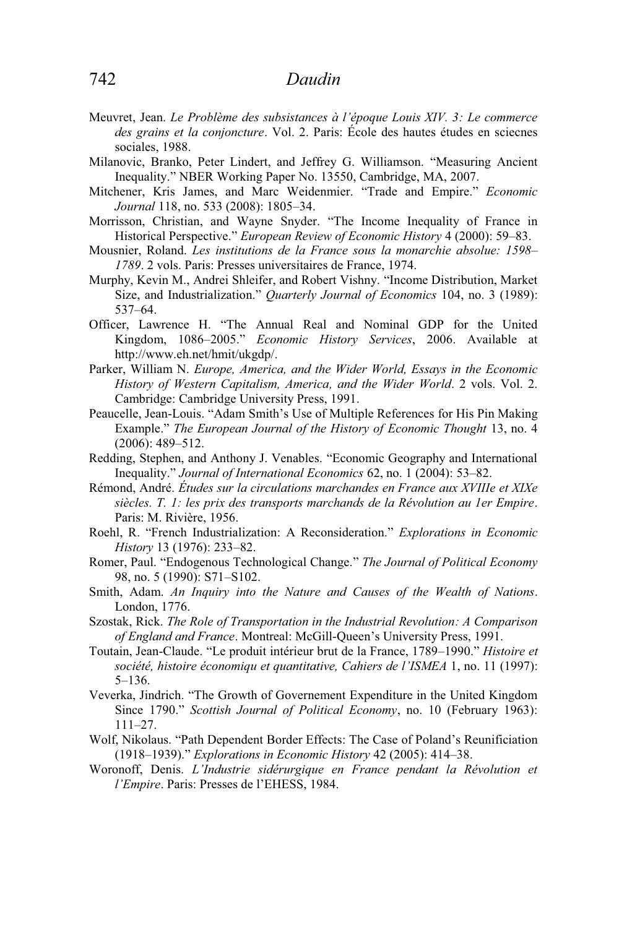- Meuvret, Jean. *Le Problème des subsistances à l'époque Louis XIV. 3: Le commerce des grains et la conjoncture*. Vol. 2. Paris: École des hautes études en sciecnes sociales, 1988.
- Milanovic, Branko, Peter Lindert, and Jeffrey G. Williamson. "Measuring Ancient Inequality." NBER Working Paper No. 13550, Cambridge, MA, 2007.
- Mitchener, Kris James, and Marc Weidenmier. "Trade and Empire." *Economic Journal* 118, no. 533 (2008): 1805–34.
- Morrisson, Christian, and Wayne Snyder. "The Income Inequality of France in Historical Perspective." *European Review of Economic History* 4 (2000): 59–83.
- Mousnier, Roland. *Les institutions de la France sous la monarchie absolue: 1598– 1789*. 2 vols. Paris: Presses universitaires de France, 1974.
- Murphy, Kevin M., Andrei Shleifer, and Robert Vishny. "Income Distribution, Market Size, and Industrialization." *Quarterly Journal of Economics* 104, no. 3 (1989): 537–64.
- Officer, Lawrence H. "The Annual Real and Nominal GDP for the United Kingdom, 1086–2005." *Economic History Services*, 2006. Available at http://www.eh.net/hmit/ukgdp/.
- Parker, William N. *Europe, America, and the Wider World, Essays in the Economic History of Western Capitalism, America, and the Wider World*. 2 vols. Vol. 2. Cambridge: Cambridge University Press, 1991.
- Peaucelle, Jean-Louis. "Adam Smith's Use of Multiple References for His Pin Making Example." *The European Journal of the History of Economic Thought* 13, no. 4 (2006): 489–512.
- Redding, Stephen, and Anthony J. Venables. "Economic Geography and International Inequality." *Journal of International Economics* 62, no. 1 (2004): 53–82.
- Rémond, André. *Études sur la circulations marchandes en France aux XVIIIe et XIXe siècles. T. 1: les prix des transports marchands de la Révolution au 1er Empire*. Paris: M. Rivière, 1956.
- Roehl, R. "French Industrialization: A Reconsideration." *Explorations in Economic History* 13 (1976): 233–82.
- Romer, Paul. "Endogenous Technological Change." *The Journal of Political Economy* 98, no. 5 (1990): S71–S102.
- Smith, Adam. *An Inquiry into the Nature and Causes of the Wealth of Nations*. London, 1776.
- Szostak, Rick. *The Role of Transportation in the Industrial Revolution: A Comparison of England and France*. Montreal: McGill-Queen's University Press, 1991.
- Toutain, Jean-Claude. "Le produit intérieur brut de la France, 1789–1990." *Histoire et société, histoire économiqu et quantitative, Cahiers de l'ISMEA* 1, no. 11 (1997): 5–136.
- Veverka, Jindrich. "The Growth of Governement Expenditure in the United Kingdom Since 1790." *Scottish Journal of Political Economy*, no. 10 (February 1963): 111–27.
- Wolf, Nikolaus. "Path Dependent Border Effects: The Case of Poland's Reunificiation (1918–1939)." *Explorations in Economic History* 42 (2005): 414–38.
- Woronoff, Denis. *L'Industrie sidérurgique en France pendant la Révolution et l'Empire*. Paris: Presses de l'EHESS, 1984.